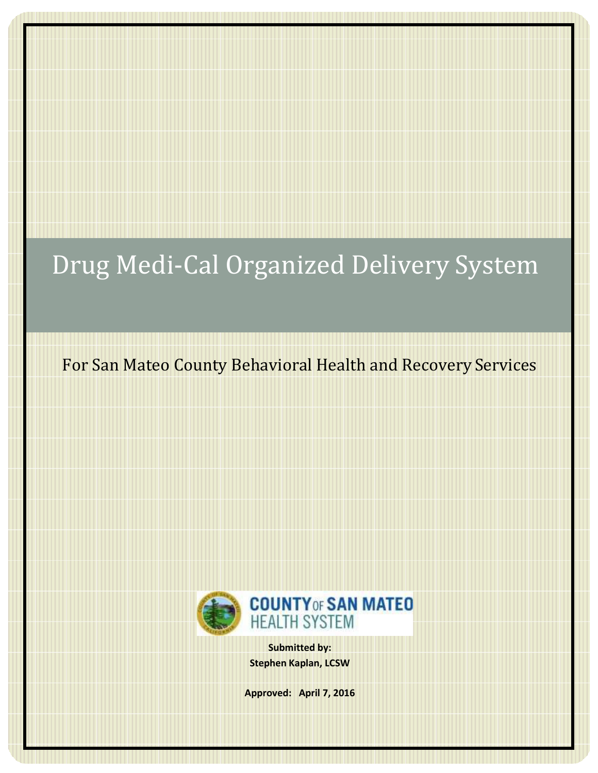# Drug Medi-Cal Organized Delivery System

For San Mateo County Behavioral Health and Recovery Services



**Submitted by: Stephen Kaplan, LCSW**

**Approved: April 7, 2016**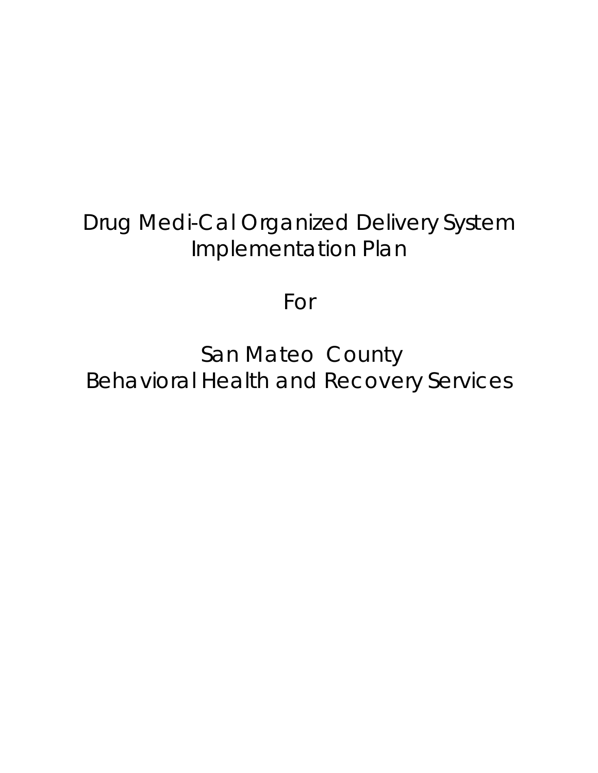## Drug Medi-Cal Organized Delivery System Implementation Plan

For

San Mateo County Behavioral Health and Recovery Services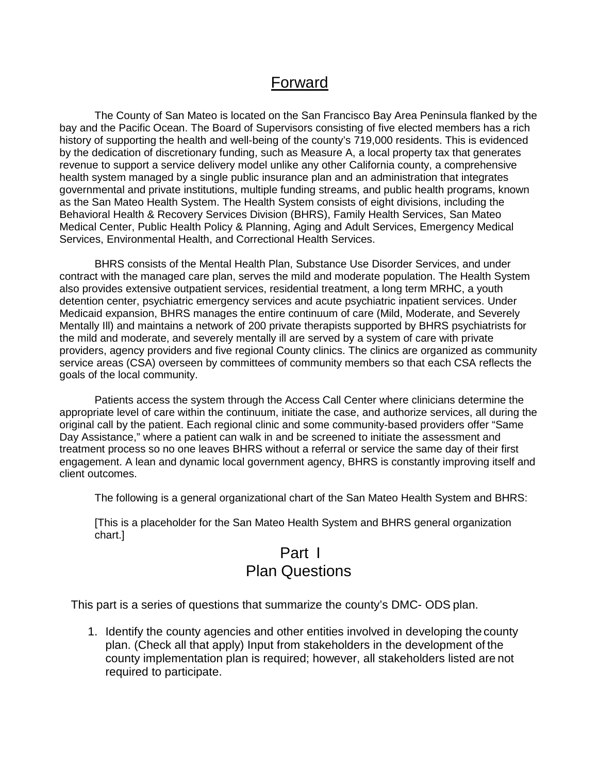## Forward

The County of San Mateo is located on the San Francisco Bay Area Peninsula flanked by the bay and the Pacific Ocean. The Board of Supervisors consisting of five elected members has a rich history of supporting the health and well-being of the county's 719,000 residents. This is evidenced by the dedication of discretionary funding, such as Measure A, a local property tax that generates revenue to support a service delivery model unlike any other California county, a comprehensive health system managed by a single public insurance plan and an administration that integrates governmental and private institutions, multiple funding streams, and public health programs, known as the San Mateo Health System. The Health System consists of eight divisions, including the Behavioral Health & Recovery Services Division (BHRS), Family Health Services, San Mateo Medical Center, Public Health Policy & Planning, Aging and Adult Services, Emergency Medical Services, Environmental Health, and Correctional Health Services.

BHRS consists of the Mental Health Plan, Substance Use Disorder Services, and under contract with the managed care plan, serves the mild and moderate population. The Health System also provides extensive outpatient services, residential treatment, a long term MRHC, a youth detention center, psychiatric emergency services and acute psychiatric inpatient services. Under Medicaid expansion, BHRS manages the entire continuum of care (Mild, Moderate, and Severely Mentally Ill) and maintains a network of 200 private therapists supported by BHRS psychiatrists for the mild and moderate, and severely mentally ill are served by a system of care with private providers, agency providers and five regional County clinics. The clinics are organized as community service areas (CSA) overseen by committees of community members so that each CSA reflects the goals of the local community.

Patients access the system through the Access Call Center where clinicians determine the appropriate level of care within the continuum, initiate the case, and authorize services, all during the original call by the patient. Each regional clinic and some community-based providers offer "Same Day Assistance," where a patient can walk in and be screened to initiate the assessment and treatment process so no one leaves BHRS without a referral or service the same day of their first engagement. A lean and dynamic local government agency, BHRS is constantly improving itself and client outcomes.

The following is a general organizational chart of the San Mateo Health System and BHRS:

[This is a placeholder for the San Mateo Health System and BHRS general organization chart.]

## Part I Plan Questions

This part is a series of questions that summarize the county's DMC- ODS plan.

1. Identify the county agencies and other entities involved in developing the county plan. (Check all that apply) Input from stakeholders in the development of the county implementation plan is required; however, all stakeholders listed are not required to participate.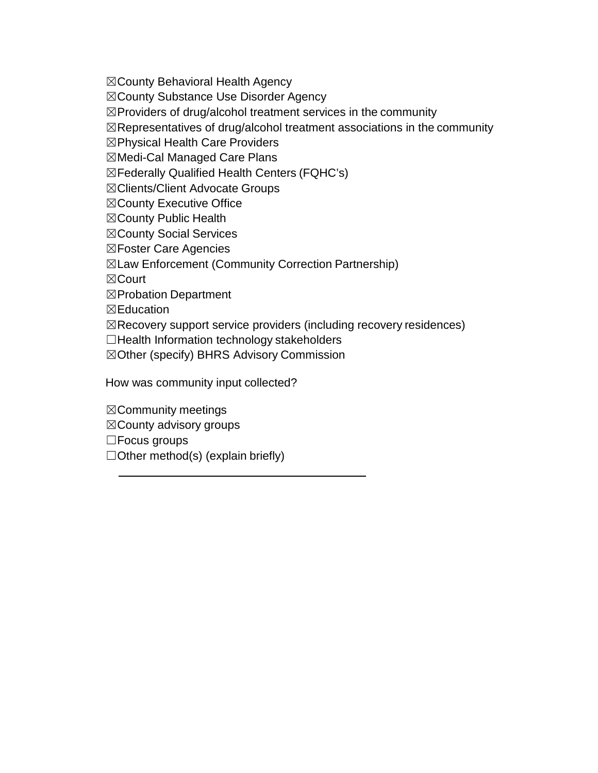☒County Behavioral Health Agency

☒County Substance Use Disorder Agency

☒Providers of drug/alcohol treatment services in the community

 $\boxtimes$ Representatives of drug/alcohol treatment associations in the community

☒Physical Health Care Providers

☒Medi-Cal Managed Care Plans

☒Federally Qualified Health Centers (FQHC's)

☒Clients/Client Advocate Groups

☒County Executive Office

☒County Public Health

☒County Social Services

☒Foster Care Agencies

☒Law Enforcement (Community Correction Partnership)

☒Court

☒Probation Department

☒Education

 $\boxtimes$ Recovery support service providers (including recovery residences)

☐Health Information technology stakeholders

☒Other (specify) BHRS Advisory Commission

How was community input collected?

☒Community meetings

☒County advisory groups

☐Focus groups

 $\Box$ Other method(s) (explain briefly)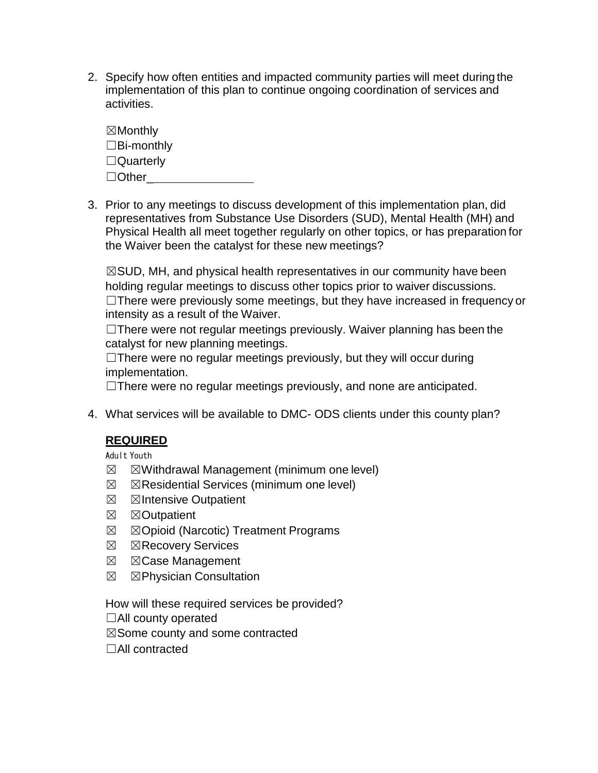2. Specify how often entities and impacted community parties will meet during the implementation of this plan to continue ongoing coordination of services and activities.

☒Monthly ☐Bi-monthly ☐Quarterly □ Other<sub>ce</sub>ntrial and the set of the set of the set of the set of the set of the set of the set of the set of the set of the set of the set of the set of the set of the set of the set of the set of the set of the set of t

3. Prior to any meetings to discuss development of this implementation plan, did representatives from Substance Use Disorders (SUD), Mental Health (MH) and Physical Health all meet together regularly on other topics, or has preparation for the Waiver been the catalyst for these new meetings?

☒SUD, MH, and physical health representatives in our community have been holding regular meetings to discuss other topics prior to waiver discussions. ☐There were previously some meetings, but they have increased in frequency or intensity as a result of the Waiver.

□There were not regular meetings previously. Waiver planning has been the catalyst for new planning meetings.

 $\Box$ There were no regular meetings previously, but they will occur during implementation.

 $\Box$ There were no regular meetings previously, and none are anticipated.

4. What services will be available to DMC- ODS clients under this county plan?

#### **REQUIRED**

Adult Youth

- $\boxtimes$   $\boxtimes$  Withdrawal Management (minimum one level)
- $\boxtimes$   $\boxtimes$  Residential Services (minimum one level)
- **⊠** ⊠Intensive Outpatient
- **⊠** ⊠Outpatient
- ☒ ☒Opioid (Narcotic) Treatment Programs
- **⊠ ⊠Recovery Services**
- ☒ ☒Case Management
- ☒ ☒Physician Consultation

How will these required services be provided?

☐All county operated

 $\boxtimes$  Some county and some contracted

☐All contracted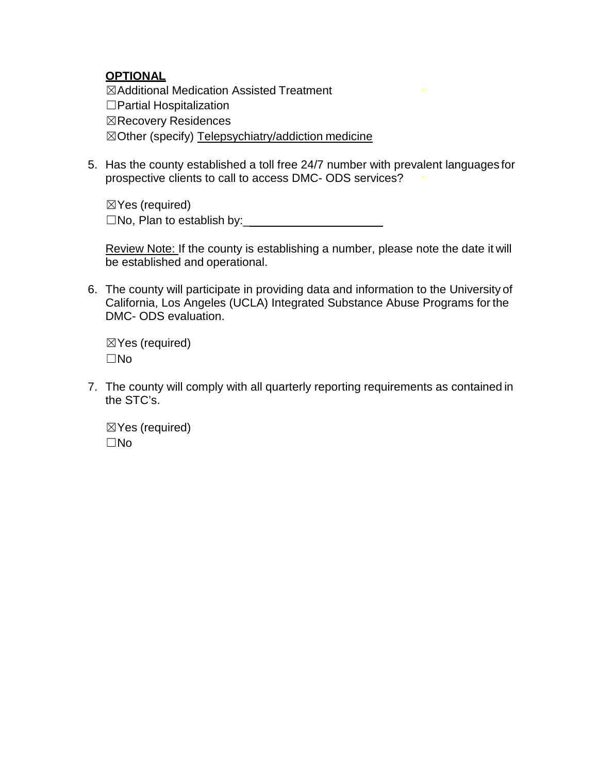#### **OPTIONAL**

☒Additional Medication Assisted Treatment ☐Partial Hospitalization ☒Recovery Residences ☒Other (specify) Telepsychiatry/addiction medicine

5. Has the county established a toll free 24/7 number with prevalent languages for prospective clients to call to access DMC- ODS services?

☒Yes (required)  $\square$ No, Plan to establish by:

Review Note: If the county is establishing a number, please note the date it will be established and operational.

6. The county will participate in providing data and information to the University of California, Los Angeles (UCLA) Integrated Substance Abuse Programs for the DMC- ODS evaluation.

☒Yes (required) ☐No

7. The county will comply with all quarterly reporting requirements as contained in the STC's.

☒Yes (required) ☐No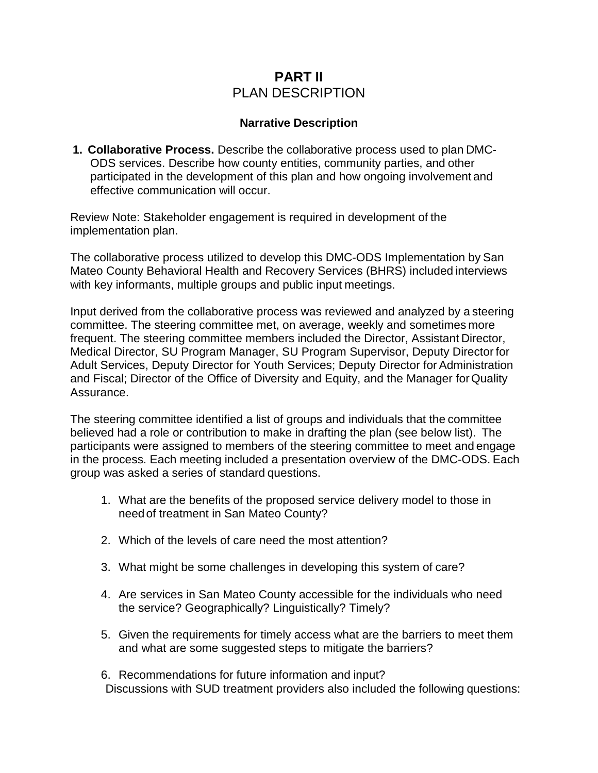### **PART II** PLAN DESCRIPTION

#### **Narrative Description**

**1. Collaborative Process.** Describe the collaborative process used to plan DMC-ODS services. Describe how county entities, community parties, and other participated in the development of this plan and how ongoing involvement and effective communication will occur.

Review Note: Stakeholder engagement is required in development of the implementation plan.

The collaborative process utilized to develop this DMC-ODS Implementation by San Mateo County Behavioral Health and Recovery Services (BHRS) included interviews with key informants, multiple groups and public input meetings.

Input derived from the collaborative process was reviewed and analyzed by a steering committee. The steering committee met, on average, weekly and sometimes more frequent. The steering committee members included the Director, Assistant Director, Medical Director, SU Program Manager, SU Program Supervisor, Deputy Director for Adult Services, Deputy Director for Youth Services; Deputy Director for Administration and Fiscal; Director of the Office of Diversity and Equity, and the Manager forQuality Assurance.

The steering committee identified a list of groups and individuals that the committee believed had a role or contribution to make in drafting the plan (see below list). The participants were assigned to members of the steering committee to meet and engage in the process. Each meeting included a presentation overview of the DMC-ODS. Each group was asked a series of standard questions.

- 1. What are the benefits of the proposed service delivery model to those in needof treatment in San Mateo County?
- 2. Which of the levels of care need the most attention?
- 3. What might be some challenges in developing this system of care?
- 4. Are services in San Mateo County accessible for the individuals who need the service? Geographically? Linguistically? Timely?
- 5. Given the requirements for timely access what are the barriers to meet them and what are some suggested steps to mitigate the barriers?

6. Recommendations for future information and input? Discussions with SUD treatment providers also included the following questions: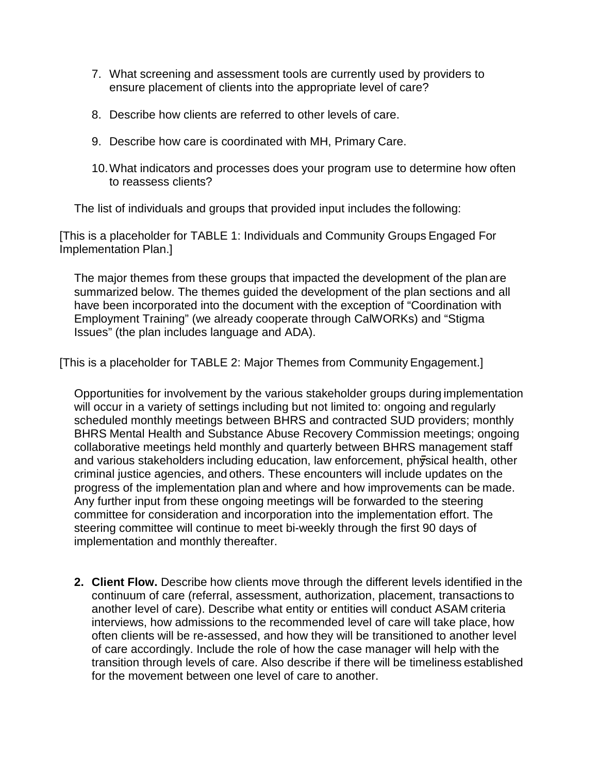- 7. What screening and assessment tools are currently used by providers to ensure placement of clients into the appropriate level of care?
- 8. Describe how clients are referred to other levels of care.
- 9. Describe how care is coordinated with MH, Primary Care.
- 10.What indicators and processes does your program use to determine how often to reassess clients?

The list of individuals and groups that provided input includes the following:

[This is a placeholder for TABLE 1: Individuals and Community Groups Engaged For Implementation Plan.]

The major themes from these groups that impacted the development of the plan are summarized below. The themes guided the development of the plan sections and all have been incorporated into the document with the exception of "Coordination with Employment Training" (we already cooperate through CalWORKs) and "Stigma Issues" (the plan includes language and ADA).

[This is a placeholder for TABLE 2: Major Themes from Community Engagement.]

Opportunities for involvement by the various stakeholder groups during implementation will occur in a variety of settings including but not limited to: ongoing and regularly scheduled monthly meetings between BHRS and contracted SUD providers; monthly BHRS Mental Health and Substance Abuse Recovery Commission meetings; ongoing collaborative meetings held monthly and quarterly between BHRS management staff and various stakeholders including education, law enforcement, physical health, other criminal justice agencies, and others. These encounters will include updates on the progress of the implementation plan and where and how improvements can be made. Any further input from these ongoing meetings will be forwarded to the steering committee for consideration and incorporation into the implementation effort. The steering committee will continue to meet bi-weekly through the first 90 days of implementation and monthly thereafter.

**2. Client Flow.** Describe how clients move through the different levels identified in the continuum of care (referral, assessment, authorization, placement, transactions to another level of care). Describe what entity or entities will conduct ASAM criteria interviews, how admissions to the recommended level of care will take place, how often clients will be re-assessed, and how they will be transitioned to another level of care accordingly. Include the role of how the case manager will help with the transition through levels of care. Also describe if there will be timeliness established for the movement between one level of care to another.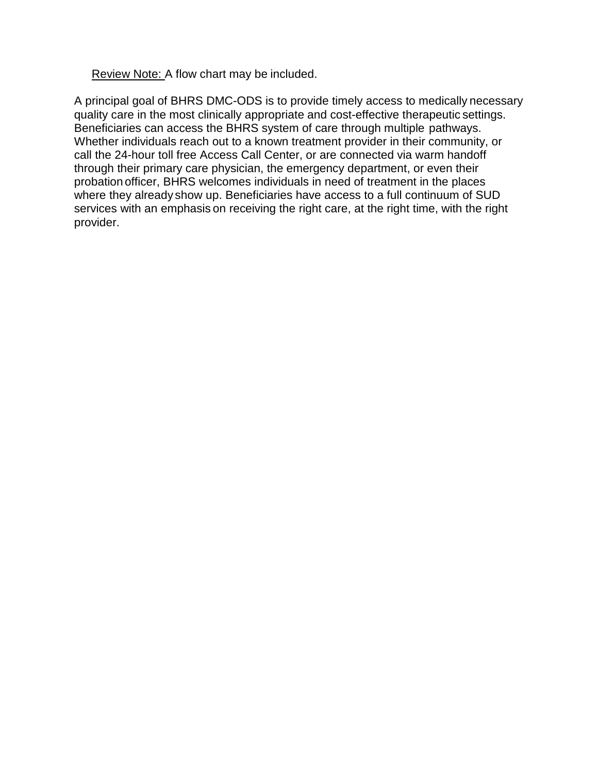Review Note: A flow chart may be included.

A principal goal of BHRS DMC-ODS is to provide timely access to medically necessary quality care in the most clinically appropriate and cost-effective therapeutic settings. Beneficiaries can access the BHRS system of care through multiple pathways. Whether individuals reach out to a known treatment provider in their community, or call the 24-hour toll free Access Call Center, or are connected via warm handoff through their primary care physician, the emergency department, or even their probation officer, BHRS welcomes individuals in need of treatment in the places where they already show up. Beneficiaries have access to a full continuum of SUD services with an emphasis on receiving the right care, at the right time, with the right provider.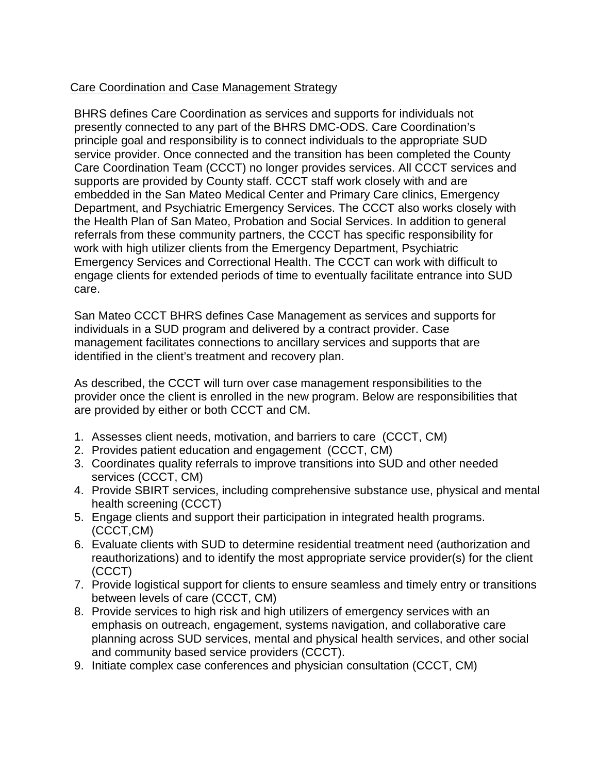#### Care Coordination and Case Management Strategy

BHRS defines Care Coordination as services and supports for individuals not presently connected to any part of the BHRS DMC-ODS. Care Coordination's principle goal and responsibility is to connect individuals to the appropriate SUD service provider. Once connected and the transition has been completed the County Care Coordination Team (CCCT) no longer provides services. All CCCT services and supports are provided by County staff. CCCT staff work closely with and are embedded in the San Mateo Medical Center and Primary Care clinics, Emergency Department, and Psychiatric Emergency Services. The CCCT also works closely with the Health Plan of San Mateo, Probation and Social Services. In addition to general referrals from these community partners, the CCCT has specific responsibility for work with high utilizer clients from the Emergency Department, Psychiatric Emergency Services and Correctional Health. The CCCT can work with difficult to engage clients for extended periods of time to eventually facilitate entrance into SUD care.

San Mateo CCCT BHRS defines Case Management as services and supports for individuals in a SUD program and delivered by a contract provider. Case management facilitates connections to ancillary services and supports that are identified in the client's treatment and recovery plan.

As described, the CCCT will turn over case management responsibilities to the provider once the client is enrolled in the new program. Below are responsibilities that are provided by either or both CCCT and CM.

- 1. Assesses client needs, motivation, and barriers to care (CCCT, CM)
- 2. Provides patient education and engagement (CCCT, CM)
- 3. Coordinates quality referrals to improve transitions into SUD and other needed services (CCCT, CM)
- 4. Provide SBIRT services, including comprehensive substance use, physical and mental health screening (CCCT)
- 5. Engage clients and support their participation in integrated health programs. (CCCT,CM)
- 6. Evaluate clients with SUD to determine residential treatment need (authorization and reauthorizations) and to identify the most appropriate service provider(s) for the client (CCCT)
- 7. Provide logistical support for clients to ensure seamless and timely entry or transitions between levels of care (CCCT, CM)
- 8. Provide services to high risk and high utilizers of emergency services with an emphasis on outreach, engagement, systems navigation, and collaborative care planning across SUD services, mental and physical health services, and other social and community based service providers (CCCT).
- 9. Initiate complex case conferences and physician consultation (CCCT, CM)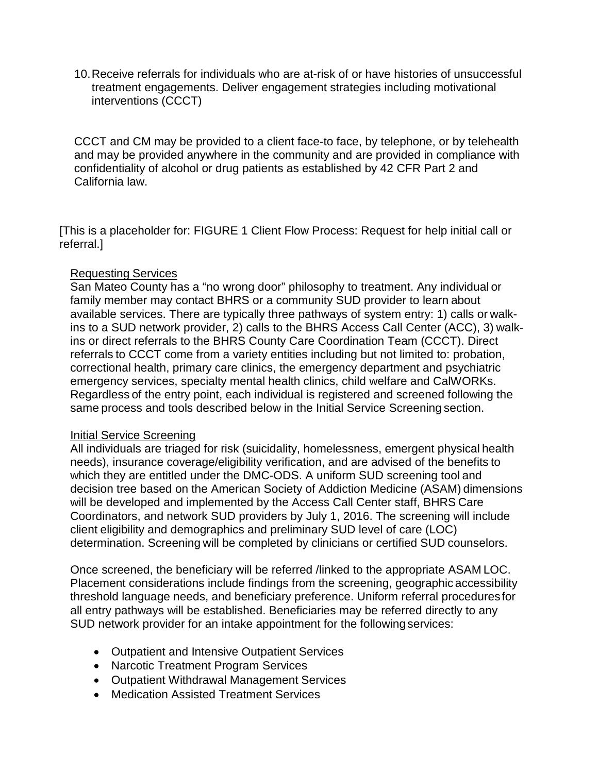10.Receive referrals for individuals who are at-risk of or have histories of unsuccessful treatment engagements. Deliver engagement strategies including motivational interventions (CCCT)

CCCT and CM may be provided to a client face-to face, by telephone, or by telehealth and may be provided anywhere in the community and are provided in compliance with confidentiality of alcohol or drug patients as established by 42 CFR Part 2 and California law.

[This is a placeholder for: FIGURE 1 Client Flow Process: Request for help initial call or referral.]

#### Requesting Services

San Mateo County has a "no wrong door" philosophy to treatment. Any individual or family member may contact BHRS or a community SUD provider to learn about available services. There are typically three pathways of system entry: 1) calls or walkins to a SUD network provider, 2) calls to the BHRS Access Call Center (ACC), 3) walkins or direct referrals to the BHRS County Care Coordination Team (CCCT). Direct referrals to CCCT come from a variety entities including but not limited to: probation, correctional health, primary care clinics, the emergency department and psychiatric emergency services, specialty mental health clinics, child welfare and CalWORKs. Regardless of the entry point, each individual is registered and screened following the same process and tools described below in the Initial Service Screening section.

#### Initial Service Screening

All individuals are triaged for risk (suicidality, homelessness, emergent physical health needs), insurance coverage/eligibility verification, and are advised of the benefits to which they are entitled under the DMC-ODS. A uniform SUD screening tool and decision tree based on the American Society of Addiction Medicine (ASAM) dimensions will be developed and implemented by the Access Call Center staff, BHRS Care Coordinators, and network SUD providers by July 1, 2016. The screening will include client eligibility and demographics and preliminary SUD level of care (LOC) determination. Screening will be completed by clinicians or certified SUD counselors.

Once screened, the beneficiary will be referred /linked to the appropriate ASAM LOC. Placement considerations include findings from the screening, geographic accessibility threshold language needs, and beneficiary preference. Uniform referral procedures for all entry pathways will be established. Beneficiaries may be referred directly to any SUD network provider for an intake appointment for the following services:

- Outpatient and Intensive Outpatient Services
- Narcotic Treatment Program Services
- Outpatient Withdrawal Management Services
- Medication Assisted Treatment Services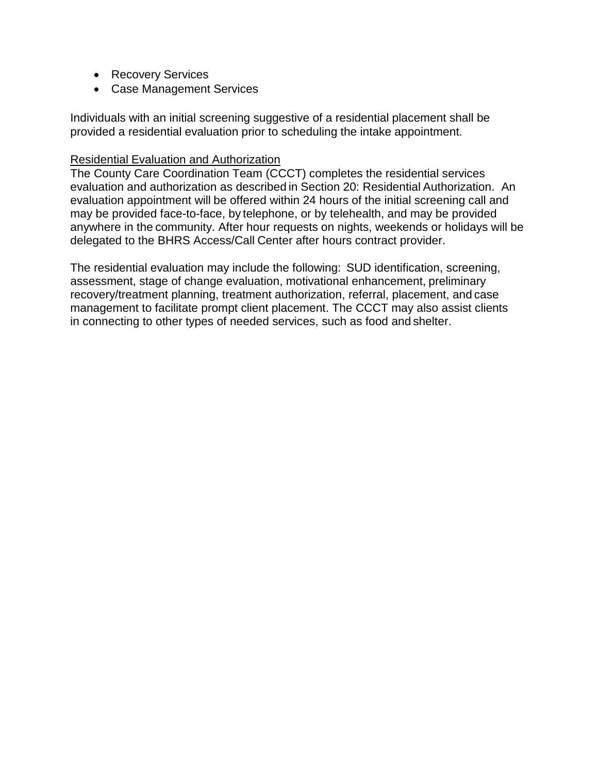- Recovery Services
- Case Management Services

Individuals with an initial screening suggestive of a residential placement shall be provided a residential evaluation prior to scheduling the intake appointment.

#### Residential Evaluation and Authorization

The County Care Coordination Team (CCCT) completes the residential services evaluation and authorization as described in Section 20: Residential Authorization. An evaluation appointment will be offered within 24 hours of the initial screening call and may be provided face-to-face, by telephone, or by telehealth, and may be provided anywhere in the community. After hour requests on nights, weekends or holidays will be delegated to the BHRS Access/Call Center after hours contract provider.

The residential evaluation may include the following: SUD identification, screening, assessment, stage of change evaluation, motivational enhancement, preliminary recovery/treatment planning, treatment authorization, referral, placement, and case management to facilitate prompt client placement. The CCCT may also assist clients in connecting to other types of needed services, such as food and shelter.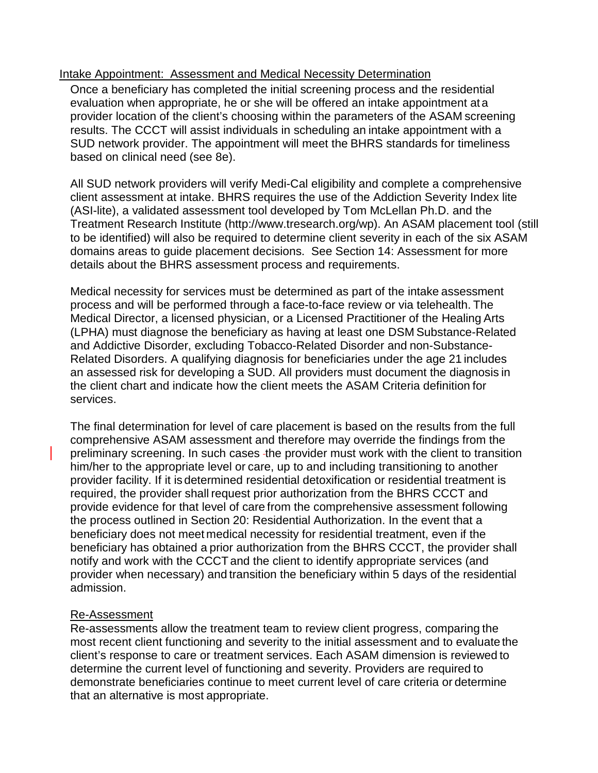#### Intake Appointment: Assessment and Medical Necessity Determination

Once a beneficiary has completed the initial screening process and the residential evaluation when appropriate, he or she will be offered an intake appointment ata provider location of the client's choosing within the parameters of the ASAM screening results. The CCCT will assist individuals in scheduling an intake appointment with a SUD network provider. The appointment will meet the BHRS standards for timeliness based on clinical need (see 8e).

All SUD network providers will verify Medi-Cal eligibility and complete a comprehensive client assessment at intake. BHRS requires the use of the Addiction Severity Index lite (ASI-lite), a validated assessment tool developed by Tom McLellan Ph.D. and the Treatment Research Institute [\(http://www.tresearch.org/wp\)](http://www.tresearch.org/wp). An ASAM placement tool (still to be identified) will also be required to determine client severity in each of the six ASAM domains areas to guide placement decisions. See Section 14: Assessment for more details about the BHRS assessment process and requirements.

Medical necessity for services must be determined as part of the intake assessment process and will be performed through a face-to-face review or via telehealth. The Medical Director, a licensed physician, or a Licensed Practitioner of the Healing Arts (LPHA) must diagnose the beneficiary as having at least one DSM Substance-Related and Addictive Disorder, excluding Tobacco-Related Disorder and non-Substance-Related Disorders. A qualifying diagnosis for beneficiaries under the age 21 includes an assessed risk for developing a SUD. All providers must document the diagnosis in the client chart and indicate how the client meets the ASAM Criteria definition for services.

The final determination for level of care placement is based on the results from the full comprehensive ASAM assessment and therefore may override the findings from the preliminary screening. In such cases the provider must work with the client to transition him/her to the appropriate level or care, up to and including transitioning to another provider facility. If it is determined residential detoxification or residential treatment is required, the provider shall request prior authorization from the BHRS CCCT and provide evidence for that level of care from the comprehensive assessment following the process outlined in Section 20: Residential Authorization. In the event that a beneficiary does not meet medical necessity for residential treatment, even if the beneficiary has obtained a prior authorization from the BHRS CCCT, the provider shall notify and work with the CCCTand the client to identify appropriate services (and provider when necessary) and transition the beneficiary within 5 days of the residential admission.

#### Re-Assessment

Re-assessments allow the treatment team to review client progress, comparing the most recent client functioning and severity to the initial assessment and to evaluate the client's response to care or treatment services. Each ASAM dimension is reviewed to determine the current level of functioning and severity. Providers are required to demonstrate beneficiaries continue to meet current level of care criteria or determine that an alternative is most appropriate.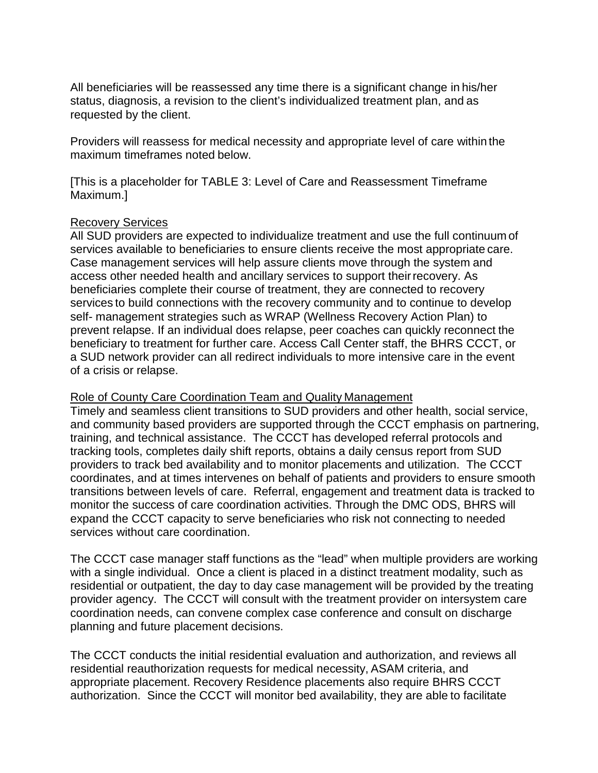All beneficiaries will be reassessed any time there is a significant change in his/her status, diagnosis, a revision to the client's individualized treatment plan, and as requested by the client.

Providers will reassess for medical necessity and appropriate level of care within the maximum timeframes noted below.

[This is a placeholder for TABLE 3: Level of Care and Reassessment Timeframe Maximum.]

#### Recovery Services

All SUD providers are expected to individualize treatment and use the full continuum of services available to beneficiaries to ensure clients receive the most appropriate care. Case management services will help assure clients move through the system and access other needed health and ancillary services to support their recovery. As beneficiaries complete their course of treatment, they are connected to recovery services to build connections with the recovery community and to continue to develop self- management strategies such as WRAP (Wellness Recovery Action Plan) to prevent relapse. If an individual does relapse, peer coaches can quickly reconnect the beneficiary to treatment for further care. Access Call Center staff, the BHRS CCCT, or a SUD network provider can all redirect individuals to more intensive care in the event of a crisis or relapse.

#### Role of County Care Coordination Team and Quality Management

Timely and seamless client transitions to SUD providers and other health, social service, and community based providers are supported through the CCCT emphasis on partnering, training, and technical assistance. The CCCT has developed referral protocols and tracking tools, completes daily shift reports, obtains a daily census report from SUD providers to track bed availability and to monitor placements and utilization. The CCCT coordinates, and at times intervenes on behalf of patients and providers to ensure smooth transitions between levels of care. Referral, engagement and treatment data is tracked to monitor the success of care coordination activities. Through the DMC ODS, BHRS will expand the CCCT capacity to serve beneficiaries who risk not connecting to needed services without care coordination.

The CCCT case manager staff functions as the "lead" when multiple providers are working with a single individual. Once a client is placed in a distinct treatment modality, such as residential or outpatient, the day to day case management will be provided by the treating provider agency. The CCCT will consult with the treatment provider on intersystem care coordination needs, can convene complex case conference and consult on discharge planning and future placement decisions.

The CCCT conducts the initial residential evaluation and authorization, and reviews all residential reauthorization requests for medical necessity, ASAM criteria, and appropriate placement. Recovery Residence placements also require BHRS CCCT authorization. Since the CCCT will monitor bed availability, they are able to facilitate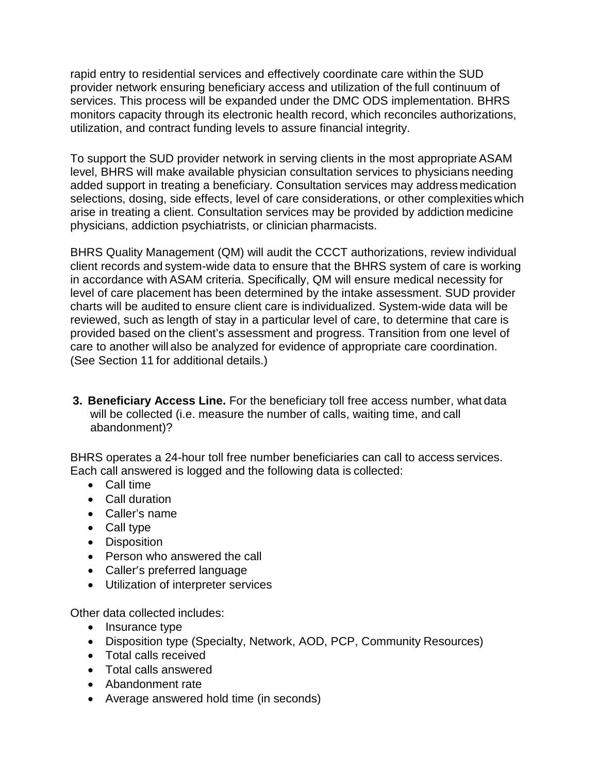rapid entry to residential services and effectively coordinate care within the SUD provider network ensuring beneficiary access and utilization of the full continuum of services. This process will be expanded under the DMC ODS implementation. BHRS monitors capacity through its electronic health record, which reconciles authorizations, utilization, and contract funding levels to assure financial integrity.

To support the SUD provider network in serving clients in the most appropriate ASAM level, BHRS will make available physician consultation services to physicians needing added support in treating a beneficiary. Consultation services may address medication selections, dosing, side effects, level of care considerations, or other complexities which arise in treating a client. Consultation services may be provided by addiction medicine physicians, addiction psychiatrists, or clinician pharmacists.

BHRS Quality Management (QM) will audit the CCCT authorizations, review individual client records and system-wide data to ensure that the BHRS system of care is working in accordance with ASAM criteria. Specifically, QM will ensure medical necessity for level of care placement has been determined by the intake assessment. SUD provider charts will be audited to ensure client care is individualized. System-wide data will be reviewed, such as length of stay in a particular level of care, to determine that care is provided based on the client's assessment and progress. Transition from one level of care to another will also be analyzed for evidence of appropriate care coordination. (See Section 11 for additional details.)

**3. Beneficiary Access Line.** For the beneficiary toll free access number, what data will be collected (i.e. measure the number of calls, waiting time, and call abandonment)?

BHRS operates a 24-hour toll free number beneficiaries can call to access services. Each call answered is logged and the following data is collected:

- Call time
- Call duration
- Caller's name
- Call type
- Disposition
- Person who answered the call
- Caller's preferred language
- Utilization of interpreter services

Other data collected includes:

- Insurance type
- Disposition type (Specialty, Network, AOD, PCP, Community Resources)
- Total calls received
- Total calls answered
- Abandonment rate
- Average answered hold time (in seconds)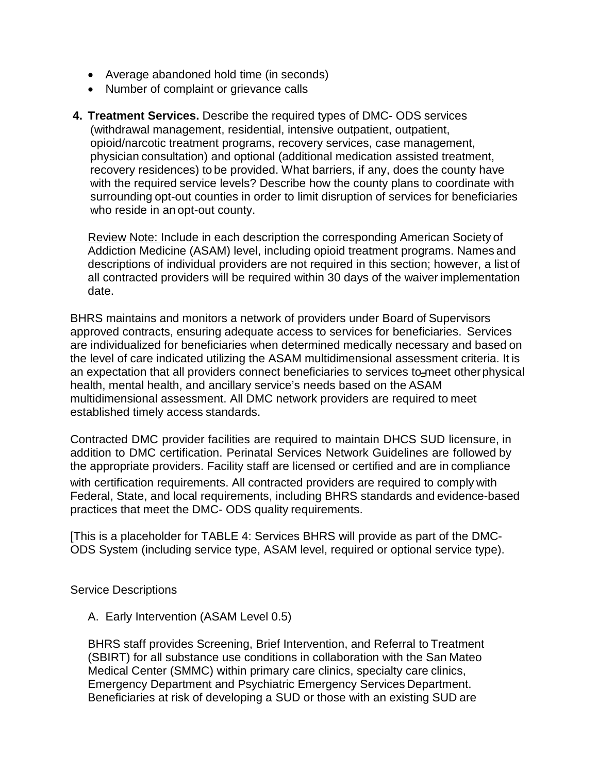- Average abandoned hold time (in seconds)
- Number of complaint or grievance calls
- **4. Treatment Services.** Describe the required types of DMC- ODS services (withdrawal management, residential, intensive outpatient, outpatient, opioid/narcotic treatment programs, recovery services, case management, physician consultation) and optional (additional medication assisted treatment, recovery residences) to be provided. What barriers, if any, does the county have with the required service levels? Describe how the county plans to coordinate with surrounding opt-out counties in order to limit disruption of services for beneficiaries who reside in an opt-out county.

Review Note: Include in each description the corresponding American Society of Addiction Medicine (ASAM) level, including opioid treatment programs. Names and descriptions of individual providers are not required in this section; however, a list of all contracted providers will be required within 30 days of the waiver implementation date.

BHRS maintains and monitors a network of providers under Board of Supervisors approved contracts, ensuring adequate access to services for beneficiaries. Services are individualized for beneficiaries when determined medically necessary and based on the level of care indicated utilizing the ASAM multidimensional assessment criteria. It is an expectation that all providers connect beneficiaries to services to meet other physical health, mental health, and ancillary service's needs based on the ASAM multidimensional assessment. All DMC network providers are required to meet established timely access standards.

Contracted DMC provider facilities are required to maintain DHCS SUD licensure, in addition to DMC certification. Perinatal Services Network Guidelines are followed by the appropriate providers. Facility staff are licensed or certified and are in compliance with certification requirements. All contracted providers are required to comply with Federal, State, and local requirements, including BHRS standards and evidence-based practices that meet the DMC- ODS quality requirements.

[This is a placeholder for TABLE 4: Services BHRS will provide as part of the DMC-ODS System (including service type, ASAM level, required or optional service type).

#### Service Descriptions

A. Early Intervention (ASAM Level 0.5)

BHRS staff provides Screening, Brief Intervention, and Referral to Treatment (SBIRT) for all substance use conditions in collaboration with the San Mateo Medical Center (SMMC) within primary care clinics, specialty care clinics, Emergency Department and Psychiatric Emergency Services Department. Beneficiaries at risk of developing a SUD or those with an existing SUD are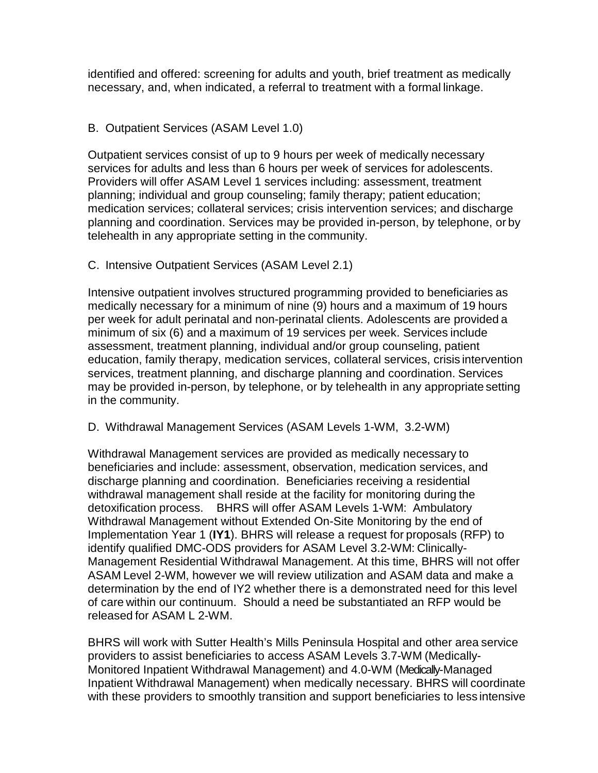identified and offered: screening for adults and youth, brief treatment as medically necessary, and, when indicated, a referral to treatment with a formal linkage.

#### B. Outpatient Services (ASAM Level 1.0)

Outpatient services consist of up to 9 hours per week of medically necessary services for adults and less than 6 hours per week of services for adolescents. Providers will offer ASAM Level 1 services including: assessment, treatment planning; individual and group counseling; family therapy; patient education; medication services; collateral services; crisis intervention services; and discharge planning and coordination. Services may be provided in-person, by telephone, or by telehealth in any appropriate setting in the community.

#### C. Intensive Outpatient Services (ASAM Level 2.1)

Intensive outpatient involves structured programming provided to beneficiaries as medically necessary for a minimum of nine (9) hours and a maximum of 19 hours per week for adult perinatal and non-perinatal clients. Adolescents are provided a minimum of six (6) and a maximum of 19 services per week. Services include assessment, treatment planning, individual and/or group counseling, patient education, family therapy, medication services, collateral services, crisis intervention services, treatment planning, and discharge planning and coordination. Services may be provided in-person, by telephone, or by telehealth in any appropriate setting in the community.

#### D. Withdrawal Management Services (ASAM Levels 1-WM, 3.2-WM)

Withdrawal Management services are provided as medically necessary to beneficiaries and include: assessment, observation, medication services, and discharge planning and coordination. Beneficiaries receiving a residential withdrawal management shall reside at the facility for monitoring during the detoxification process. BHRS will offer ASAM Levels 1-WM: Ambulatory Withdrawal Management without Extended On-Site Monitoring by the end of Implementation Year 1 (**IY1**). BHRS will release a request for proposals (RFP) to identify qualified DMC-ODS providers for ASAM Level 3.2-WM: Clinically-Management Residential Withdrawal Management. At this time, BHRS will not offer ASAM Level 2-WM, however we will review utilization and ASAM data and make a determination by the end of IY2 whether there is a demonstrated need for this level of care within our continuum. Should a need be substantiated an RFP would be released for ASAM L 2-WM.

BHRS will work with Sutter Health's Mills Peninsula Hospital and other area service providers to assist beneficiaries to access ASAM Levels 3.7-WM (Medically-Monitored Inpatient Withdrawal Management) and 4.0-WM (Medically-Managed Inpatient Withdrawal Management) when medically necessary. BHRS will coordinate with these providers to smoothly transition and support beneficiaries to less intensive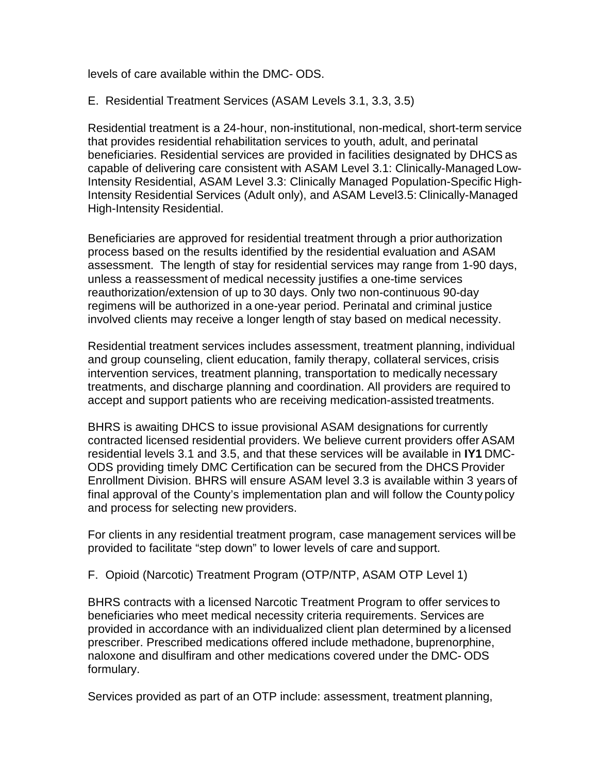levels of care available within the DMC- ODS.

E. Residential Treatment Services (ASAM Levels 3.1, 3.3, 3.5)

Residential treatment is a 24-hour, non-institutional, non-medical, short-term service that provides residential rehabilitation services to youth, adult, and perinatal beneficiaries. Residential services are provided in facilities designated by DHCS as capable of delivering care consistent with ASAM Level 3.1: Clinically-Managed Low-Intensity Residential, ASAM Level 3.3: Clinically Managed Population-Specific High-Intensity Residential Services (Adult only), and ASAM Level3.5: Clinically-Managed High-Intensity Residential.

Beneficiaries are approved for residential treatment through a prior authorization process based on the results identified by the residential evaluation and ASAM assessment. The length of stay for residential services may range from 1-90 days, unless a reassessment of medical necessity justifies a one-time services reauthorization/extension of up to 30 days. Only two non-continuous 90-day regimens will be authorized in a one-year period. Perinatal and criminal justice involved clients may receive a longer length of stay based on medical necessity.

Residential treatment services includes assessment, treatment planning, individual and group counseling, client education, family therapy, collateral services, crisis intervention services, treatment planning, transportation to medically necessary treatments, and discharge planning and coordination. All providers are required to accept and support patients who are receiving medication-assisted treatments.

BHRS is awaiting DHCS to issue provisional ASAM designations for currently contracted licensed residential providers. We believe current providers offer ASAM residential levels 3.1 and 3.5, and that these services will be available in **IY1** DMC-ODS providing timely DMC Certification can be secured from the DHCS Provider Enrollment Division. BHRS will ensure ASAM level 3.3 is available within 3 years of final approval of the County's implementation plan and will follow the County policy and process for selecting new providers.

For clients in any residential treatment program, case management services will be provided to facilitate "step down" to lower levels of care and support.

F. Opioid (Narcotic) Treatment Program (OTP/NTP, ASAM OTP Level 1)

BHRS contracts with a licensed Narcotic Treatment Program to offer services to beneficiaries who meet medical necessity criteria requirements. Services are provided in accordance with an individualized client plan determined by a licensed prescriber. Prescribed medications offered include methadone, buprenorphine, naloxone and disulfiram and other medications covered under the DMC- ODS formulary.

Services provided as part of an OTP include: assessment, treatment planning,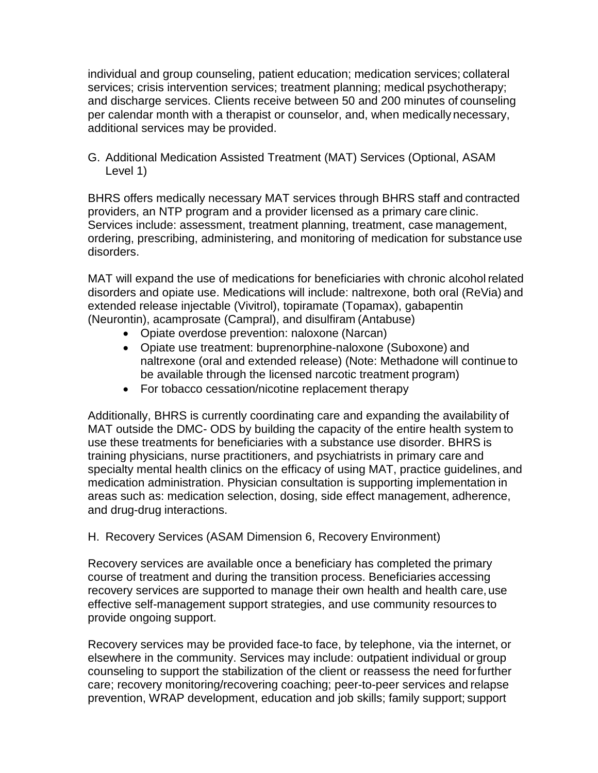individual and group counseling, patient education; medication services; collateral services; crisis intervention services; treatment planning; medical psychotherapy; and discharge services. Clients receive between 50 and 200 minutes of counseling per calendar month with a therapist or counselor, and, when medically necessary, additional services may be provided.

G. Additional Medication Assisted Treatment (MAT) Services (Optional, ASAM Level 1)

BHRS offers medically necessary MAT services through BHRS staff and contracted providers, an NTP program and a provider licensed as a primary care clinic. Services include: assessment, treatment planning, treatment, case management, ordering, prescribing, administering, and monitoring of medication for substance use disorders.

MAT will expand the use of medications for beneficiaries with chronic alcohol related disorders and opiate use. Medications will include: naltrexone, both oral (ReVia) and extended release injectable (Vivitrol), topiramate (Topamax), gabapentin (Neurontin), acamprosate (Campral), and disulfiram (Antabuse)

- Opiate overdose prevention: naloxone (Narcan)
- Opiate use treatment: buprenorphine-naloxone (Suboxone) and naltrexone (oral and extended release) (Note: Methadone will continue to be available through the licensed narcotic treatment program)
- For tobacco cessation/nicotine replacement therapy

Additionally, BHRS is currently coordinating care and expanding the availability of MAT outside the DMC- ODS by building the capacity of the entire health system to use these treatments for beneficiaries with a substance use disorder. BHRS is training physicians, nurse practitioners, and psychiatrists in primary care and specialty mental health clinics on the efficacy of using MAT, practice guidelines, and medication administration. Physician consultation is supporting implementation in areas such as: medication selection, dosing, side effect management, adherence, and drug-drug interactions.

#### H. Recovery Services (ASAM Dimension 6, Recovery Environment)

Recovery services are available once a beneficiary has completed the primary course of treatment and during the transition process. Beneficiaries accessing recovery services are supported to manage their own health and health care, use effective self-management support strategies, and use community resources to provide ongoing support.

Recovery services may be provided face-to face, by telephone, via the internet, or elsewhere in the community. Services may include: outpatient individual or group counseling to support the stabilization of the client or reassess the need forfurther care; recovery monitoring/recovering coaching; peer-to-peer services and relapse prevention, WRAP development, education and job skills; family support; support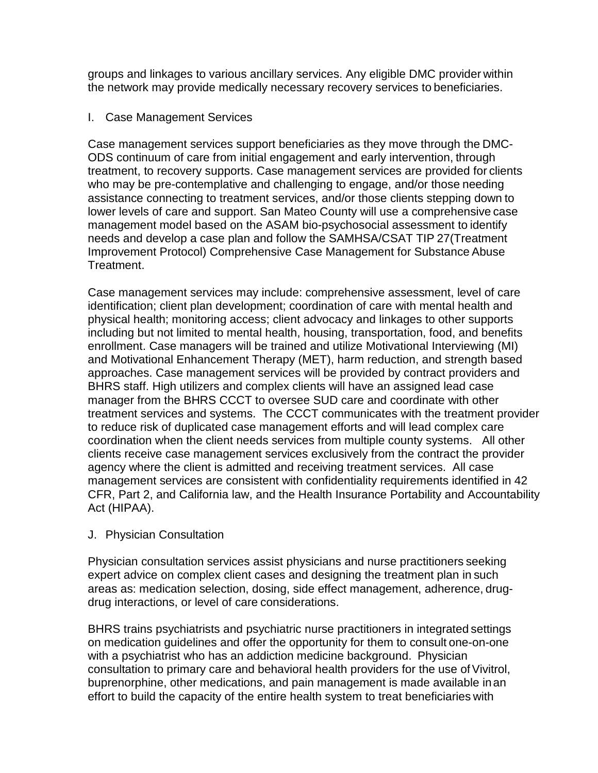groups and linkages to various ancillary services. Any eligible DMC provider within the network may provide medically necessary recovery services to beneficiaries.

#### I. Case Management Services

Case management services support beneficiaries as they move through the DMC-ODS continuum of care from initial engagement and early intervention, through treatment, to recovery supports. Case management services are provided for clients who may be pre-contemplative and challenging to engage, and/or those needing assistance connecting to treatment services, and/or those clients stepping down to lower levels of care and support. San Mateo County will use a comprehensive case management model based on the ASAM bio-psychosocial assessment to identify needs and develop a case plan and follow the SAMHSA/CSAT TIP 27(Treatment Improvement Protocol) Comprehensive Case Management for Substance Abuse Treatment.

Case management services may include: comprehensive assessment, level of care identification; client plan development; coordination of care with mental health and physical health; monitoring access; client advocacy and linkages to other supports including but not limited to mental health, housing, transportation, food, and benefits enrollment. Case managers will be trained and utilize Motivational Interviewing (MI) and Motivational Enhancement Therapy (MET), harm reduction, and strength based approaches. Case management services will be provided by contract providers and BHRS staff. High utilizers and complex clients will have an assigned lead case manager from the BHRS CCCT to oversee SUD care and coordinate with other treatment services and systems. The CCCT communicates with the treatment provider to reduce risk of duplicated case management efforts and will lead complex care coordination when the client needs services from multiple county systems. All other clients receive case management services exclusively from the contract the provider agency where the client is admitted and receiving treatment services. All case management services are consistent with confidentiality requirements identified in 42 CFR, Part 2, and California law, and the Health Insurance Portability and Accountability Act (HIPAA).

#### J. Physician Consultation

Physician consultation services assist physicians and nurse practitioners seeking expert advice on complex client cases and designing the treatment plan in such areas as: medication selection, dosing, side effect management, adherence, drugdrug interactions, or level of care considerations.

BHRS trains psychiatrists and psychiatric nurse practitioners in integrated settings on medication guidelines and offer the opportunity for them to consult one-on-one with a psychiatrist who has an addiction medicine background. Physician consultation to primary care and behavioral health providers for the use of Vivitrol, buprenorphine, other medications, and pain management is made available inan effort to build the capacity of the entire health system to treat beneficiaries with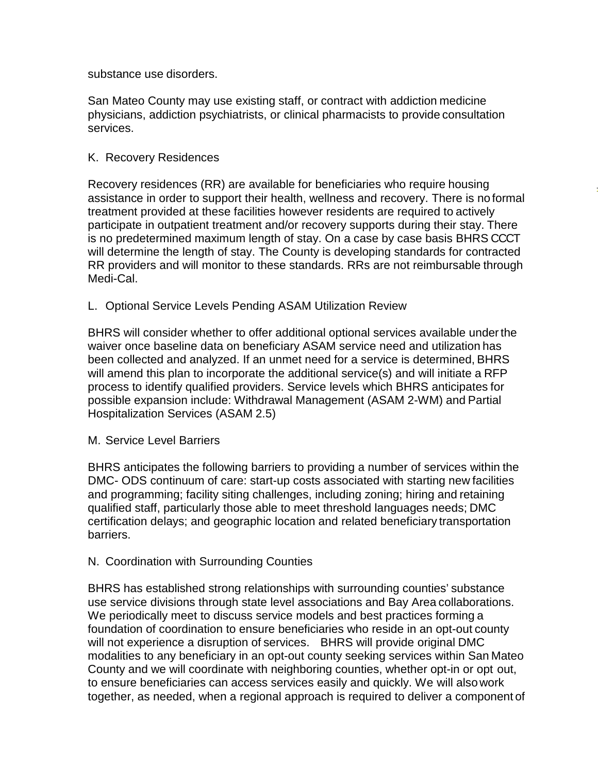substance use disorders.

San Mateo County may use existing staff, or contract with addiction medicine physicians, addiction psychiatrists, or clinical pharmacists to provide consultation services.

#### K. Recovery Residences

Recovery residences (RR) are available for beneficiaries who require housing assistance in order to support their health, wellness and recovery. There is no formal treatment provided at these facilities however residents are required to actively participate in outpatient treatment and/or recovery supports during their stay. There is no predetermined maximum length of stay. On a case by case basis BHRS CCCT will determine the length of stay. The County is developing standards for contracted RR providers and will monitor to these standards. RRs are not reimbursable through Medi-Cal.

#### L. Optional Service Levels Pending ASAM Utilization Review

BHRS will consider whether to offer additional optional services available underthe waiver once baseline data on beneficiary ASAM service need and utilization has been collected and analyzed. If an unmet need for a service is determined, BHRS will amend this plan to incorporate the additional service(s) and will initiate a RFP process to identify qualified providers. Service levels which BHRS anticipates for possible expansion include: Withdrawal Management (ASAM 2-WM) and Partial Hospitalization Services (ASAM 2.5)

#### M. Service Level Barriers

BHRS anticipates the following barriers to providing a number of services within the DMC- ODS continuum of care: start-up costs associated with starting new facilities and programming; facility siting challenges, including zoning; hiring and retaining qualified staff, particularly those able to meet threshold languages needs; DMC certification delays; and geographic location and related beneficiary transportation barriers.

#### N. Coordination with Surrounding Counties

BHRS has established strong relationships with surrounding counties' substance use service divisions through state level associations and Bay Area collaborations. We periodically meet to discuss service models and best practices forming a foundation of coordination to ensure beneficiaries who reside in an opt-out county will not experience a disruption of services. BHRS will provide original DMC modalities to any beneficiary in an opt-out county seeking services within San Mateo County and we will coordinate with neighboring counties, whether opt-in or opt out, to ensure beneficiaries can access services easily and quickly. We will alsowork together, as needed, when a regional approach is required to deliver a component of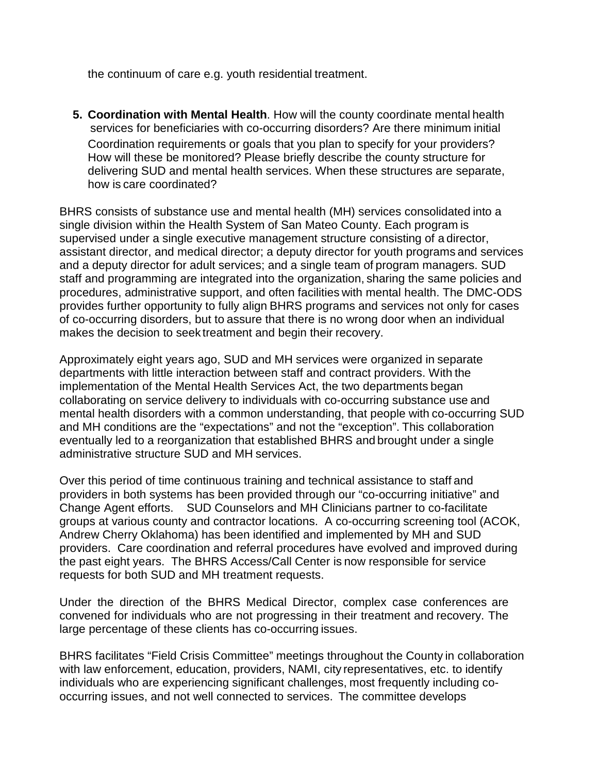the continuum of care e.g. youth residential treatment.

**5. Coordination with Mental Health**. How will the county coordinate mental health services for beneficiaries with co-occurring disorders? Are there minimum initial Coordination requirements or goals that you plan to specify for your providers? How will these be monitored? Please briefly describe the county structure for delivering SUD and mental health services. When these structures are separate, how is care coordinated?

BHRS consists of substance use and mental health (MH) services consolidated into a single division within the Health System of San Mateo County. Each program is supervised under a single executive management structure consisting of a director, assistant director, and medical director; a deputy director for youth programs and services and a deputy director for adult services; and a single team of program managers. SUD staff and programming are integrated into the organization, sharing the same policies and procedures, administrative support, and often facilities with mental health. The DMC-ODS provides further opportunity to fully align BHRS programs and services not only for cases of co-occurring disorders, but to assure that there is no wrong door when an individual makes the decision to seek treatment and begin their recovery.

Approximately eight years ago, SUD and MH services were organized in separate departments with little interaction between staff and contract providers. With the implementation of the Mental Health Services Act, the two departments began collaborating on service delivery to individuals with co-occurring substance use and mental health disorders with a common understanding, that people with co-occurring SUD and MH conditions are the "expectations" and not the "exception". This collaboration eventually led to a reorganization that established BHRS and brought under a single administrative structure SUD and MH services.

Over this period of time continuous training and technical assistance to staff and providers in both systems has been provided through our "co-occurring initiative" and Change Agent efforts. SUD Counselors and MH Clinicians partner to co-facilitate groups at various county and contractor locations. A co-occurring screening tool (ACOK, Andrew Cherry Oklahoma) has been identified and implemented by MH and SUD providers. Care coordination and referral procedures have evolved and improved during the past eight years. The BHRS Access/Call Center is now responsible for service requests for both SUD and MH treatment requests.

Under the direction of the BHRS Medical Director, complex case conferences are convened for individuals who are not progressing in their treatment and recovery. The large percentage of these clients has co-occurring issues.

BHRS facilitates "Field Crisis Committee" meetings throughout the County in collaboration with law enforcement, education, providers, NAMI, city representatives, etc. to identify individuals who are experiencing significant challenges, most frequently including cooccurring issues, and not well connected to services. The committee develops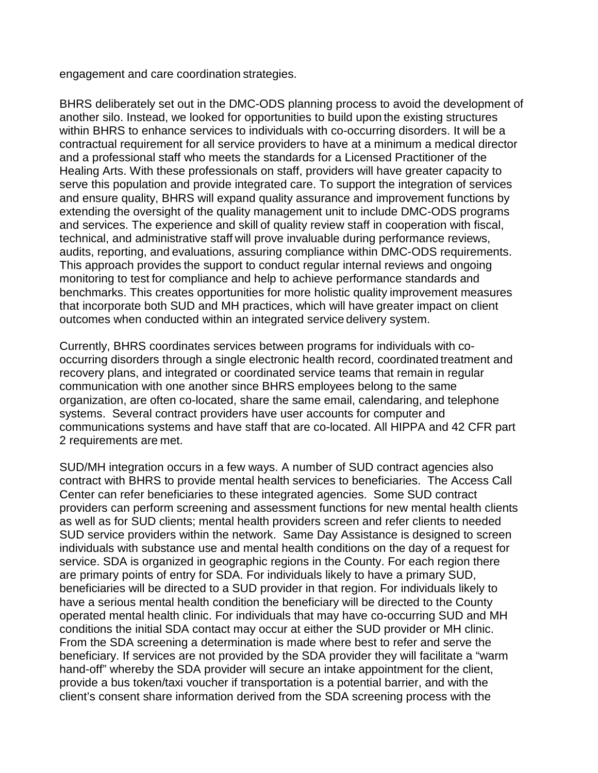engagement and care coordination strategies.

BHRS deliberately set out in the DMC-ODS planning process to avoid the development of another silo. Instead, we looked for opportunities to build upon the existing structures within BHRS to enhance services to individuals with co-occurring disorders. It will be a contractual requirement for all service providers to have at a minimum a medical director and a professional staff who meets the standards for a Licensed Practitioner of the Healing Arts. With these professionals on staff, providers will have greater capacity to serve this population and provide integrated care. To support the integration of services and ensure quality, BHRS will expand quality assurance and improvement functions by extending the oversight of the quality management unit to include DMC-ODS programs and services. The experience and skill of quality review staff in cooperation with fiscal, technical, and administrative staff will prove invaluable during performance reviews, audits, reporting, and evaluations, assuring compliance within DMC-ODS requirements. This approach provides the support to conduct regular internal reviews and ongoing monitoring to test for compliance and help to achieve performance standards and benchmarks. This creates opportunities for more holistic quality improvement measures that incorporate both SUD and MH practices, which will have greater impact on client outcomes when conducted within an integrated service delivery system.

Currently, BHRS coordinates services between programs for individuals with cooccurring disorders through a single electronic health record, coordinated treatment and recovery plans, and integrated or coordinated service teams that remain in regular communication with one another since BHRS employees belong to the same organization, are often co-located, share the same email, calendaring, and telephone systems. Several contract providers have user accounts for computer and communications systems and have staff that are co-located. All HIPPA and 42 CFR part 2 requirements are met.

SUD/MH integration occurs in a few ways. A number of SUD contract agencies also contract with BHRS to provide mental health services to beneficiaries. The Access Call Center can refer beneficiaries to these integrated agencies. Some SUD contract providers can perform screening and assessment functions for new mental health clients as well as for SUD clients; mental health providers screen and refer clients to needed SUD service providers within the network. Same Day Assistance is designed to screen individuals with substance use and mental health conditions on the day of a request for service. SDA is organized in geographic regions in the County. For each region there are primary points of entry for SDA. For individuals likely to have a primary SUD, beneficiaries will be directed to a SUD provider in that region. For individuals likely to have a serious mental health condition the beneficiary will be directed to the County operated mental health clinic. For individuals that may have co-occurring SUD and MH conditions the initial SDA contact may occur at either the SUD provider or MH clinic. From the SDA screening a determination is made where best to refer and serve the beneficiary. If services are not provided by the SDA provider they will facilitate a "warm hand-off" whereby the SDA provider will secure an intake appointment for the client, provide a bus token/taxi voucher if transportation is a potential barrier, and with the client's consent share information derived from the SDA screening process with the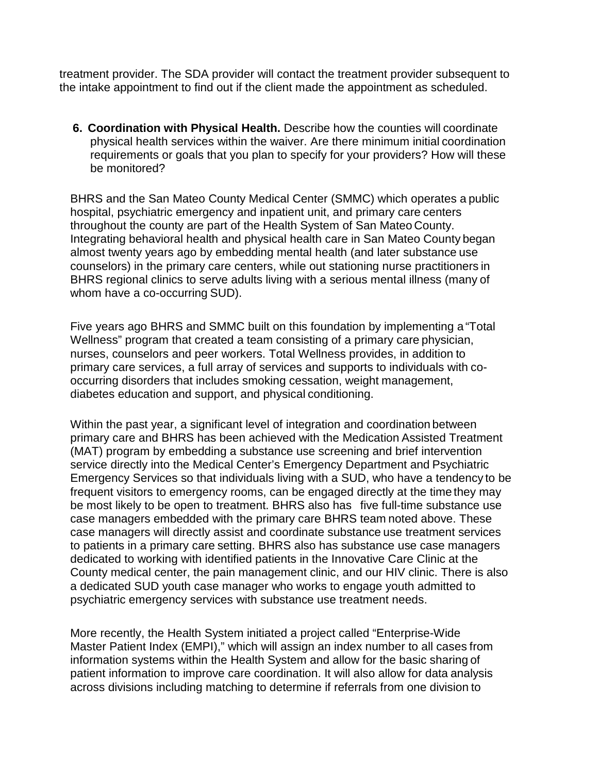treatment provider. The SDA provider will contact the treatment provider subsequent to the intake appointment to find out if the client made the appointment as scheduled.

**6. Coordination with Physical Health.** Describe how the counties will coordinate physical health services within the waiver. Are there minimum initial coordination requirements or goals that you plan to specify for your providers? How will these be monitored?

BHRS and the San Mateo County Medical Center (SMMC) which operates a public hospital, psychiatric emergency and inpatient unit, and primary care centers throughout the county are part of the Health System of San Mateo County. Integrating behavioral health and physical health care in San Mateo County began almost twenty years ago by embedding mental health (and later substance use counselors) in the primary care centers, while out stationing nurse practitioners in BHRS regional clinics to serve adults living with a serious mental illness (many of whom have a co-occurring SUD).

Five years ago BHRS and SMMC built on this foundation by implementing a "Total Wellness" program that created a team consisting of a primary care physician, nurses, counselors and peer workers. Total Wellness provides, in addition to primary care services, a full array of services and supports to individuals with cooccurring disorders that includes smoking cessation, weight management, diabetes education and support, and physical conditioning.

Within the past year, a significant level of integration and coordination between primary care and BHRS has been achieved with the Medication Assisted Treatment (MAT) program by embedding a substance use screening and brief intervention service directly into the Medical Center's Emergency Department and Psychiatric Emergency Services so that individuals living with a SUD, who have a tendency to be frequent visitors to emergency rooms, can be engaged directly at the time they may be most likely to be open to treatment. BHRS also has five full-time substance use case managers embedded with the primary care BHRS team noted above. These case managers will directly assist and coordinate substance use treatment services to patients in a primary care setting. BHRS also has substance use case managers dedicated to working with identified patients in the Innovative Care Clinic at the County medical center, the pain management clinic, and our HIV clinic. There is also a dedicated SUD youth case manager who works to engage youth admitted to psychiatric emergency services with substance use treatment needs.

More recently, the Health System initiated a project called "Enterprise-Wide Master Patient Index (EMPI)," which will assign an index number to all cases from information systems within the Health System and allow for the basic sharing of patient information to improve care coordination. It will also allow for data analysis across divisions including matching to determine if referrals from one division to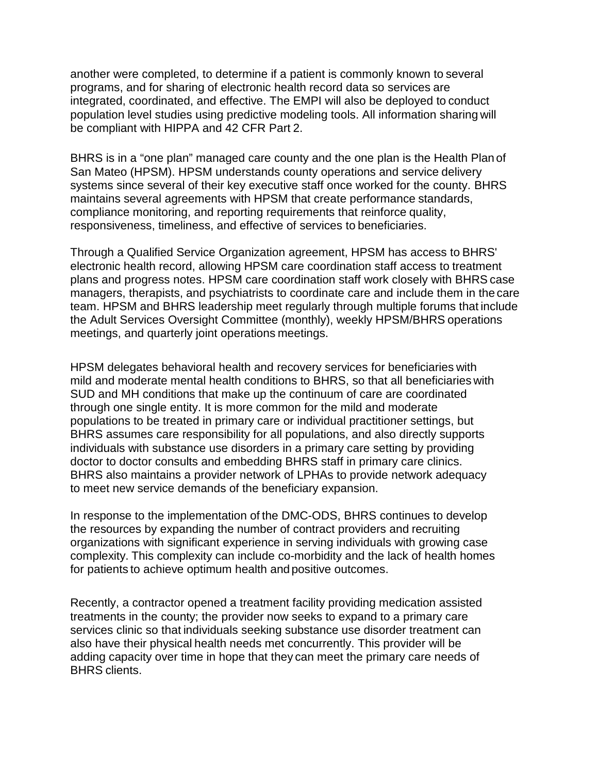another were completed, to determine if a patient is commonly known to several programs, and for sharing of electronic health record data so services are integrated, coordinated, and effective. The EMPI will also be deployed to conduct population level studies using predictive modeling tools. All information sharing will be compliant with HIPPA and 42 CFR Part 2.

BHRS is in a "one plan" managed care county and the one plan is the Health Plan of San Mateo (HPSM). HPSM understands county operations and service delivery systems since several of their key executive staff once worked for the county. BHRS maintains several agreements with HPSM that create performance standards, compliance monitoring, and reporting requirements that reinforce quality, responsiveness, timeliness, and effective of services to beneficiaries.

Through a Qualified Service Organization agreement, HPSM has access to BHRS' electronic health record, allowing HPSM care coordination staff access to treatment plans and progress notes. HPSM care coordination staff work closely with BHRS case managers, therapists, and psychiatrists to coordinate care and include them in the care team. HPSM and BHRS leadership meet regularly through multiple forums that include the Adult Services Oversight Committee (monthly), weekly HPSM/BHRS operations meetings, and quarterly joint operations meetings.

HPSM delegates behavioral health and recovery services for beneficiaries with mild and moderate mental health conditions to BHRS, so that all beneficiaries with SUD and MH conditions that make up the continuum of care are coordinated through one single entity. It is more common for the mild and moderate populations to be treated in primary care or individual practitioner settings, but BHRS assumes care responsibility for all populations, and also directly supports individuals with substance use disorders in a primary care setting by providing doctor to doctor consults and embedding BHRS staff in primary care clinics. BHRS also maintains a provider network of LPHAs to provide network adequacy to meet new service demands of the beneficiary expansion.

In response to the implementation of the DMC-ODS, BHRS continues to develop the resources by expanding the number of contract providers and recruiting organizations with significant experience in serving individuals with growing case complexity. This complexity can include co-morbidity and the lack of health homes for patients to achieve optimum health and positive outcomes.

Recently, a contractor opened a treatment facility providing medication assisted treatments in the county; the provider now seeks to expand to a primary care services clinic so that individuals seeking substance use disorder treatment can also have their physical health needs met concurrently. This provider will be adding capacity over time in hope that they can meet the primary care needs of BHRS clients.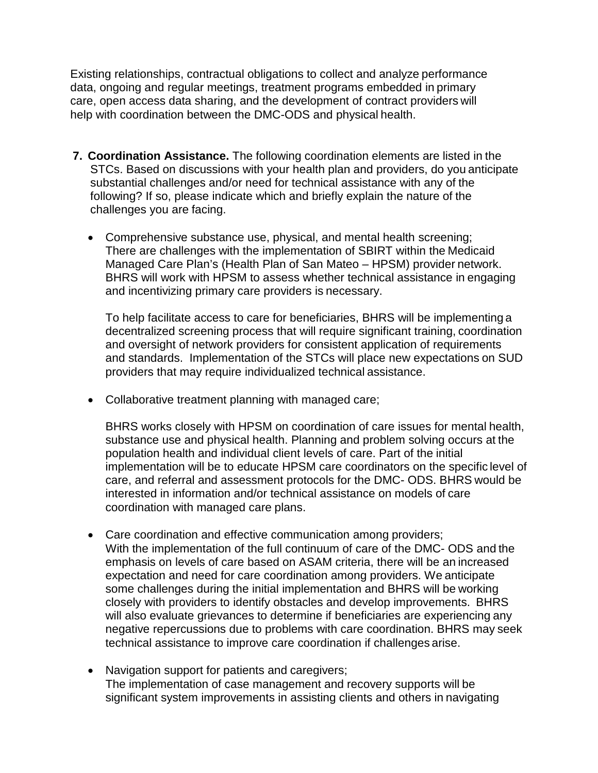Existing relationships, contractual obligations to collect and analyze performance data, ongoing and regular meetings, treatment programs embedded in primary care, open access data sharing, and the development of contract providers will help with coordination between the DMC-ODS and physical health.

- **7. Coordination Assistance.** The following coordination elements are listed in the STCs. Based on discussions with your health plan and providers, do you anticipate substantial challenges and/or need for technical assistance with any of the following? If so, please indicate which and briefly explain the nature of the challenges you are facing.
	- Comprehensive substance use, physical, and mental health screening; There are challenges with the implementation of SBIRT within the Medicaid Managed Care Plan's (Health Plan of San Mateo – HPSM) provider network. BHRS will work with HPSM to assess whether technical assistance in engaging and incentivizing primary care providers is necessary.

To help facilitate access to care for beneficiaries, BHRS will be implementing a decentralized screening process that will require significant training, coordination and oversight of network providers for consistent application of requirements and standards. Implementation of the STCs will place new expectations on SUD providers that may require individualized technical assistance.

• Collaborative treatment planning with managed care;

BHRS works closely with HPSM on coordination of care issues for mental health, substance use and physical health. Planning and problem solving occurs at the population health and individual client levels of care. Part of the initial implementation will be to educate HPSM care coordinators on the specific level of care, and referral and assessment protocols for the DMC- ODS. BHRS would be interested in information and/or technical assistance on models of care coordination with managed care plans.

- Care coordination and effective communication among providers; With the implementation of the full continuum of care of the DMC- ODS and the emphasis on levels of care based on ASAM criteria, there will be an increased expectation and need for care coordination among providers. We anticipate some challenges during the initial implementation and BHRS will be working closely with providers to identify obstacles and develop improvements. BHRS will also evaluate grievances to determine if beneficiaries are experiencing any negative repercussions due to problems with care coordination. BHRS may seek technical assistance to improve care coordination if challenges arise.
- Navigation support for patients and caregivers; The implementation of case management and recovery supports will be significant system improvements in assisting clients and others in navigating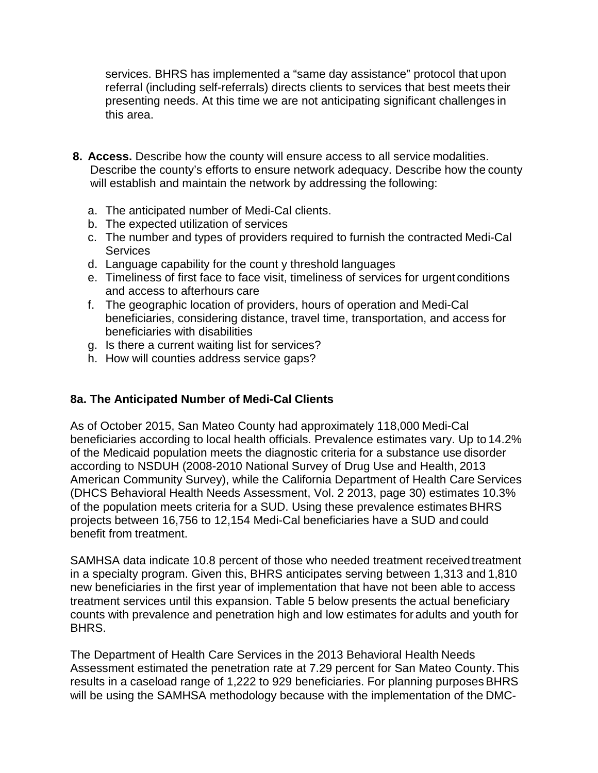services. BHRS has implemented a "same day assistance" protocol that upon referral (including self-referrals) directs clients to services that best meets their presenting needs. At this time we are not anticipating significant challenges in this area.

- **8. Access.** Describe how the county will ensure access to all service modalities. Describe the county's efforts to ensure network adequacy. Describe how the county will establish and maintain the network by addressing the following:
	- a. The anticipated number of Medi-Cal clients.
	- b. The expected utilization of services
	- c. The number and types of providers required to furnish the contracted Medi-Cal Services
	- d. Language capability for the count y threshold languages
	- e. Timeliness of first face to face visit, timeliness of services for urgent conditions and access to afterhours care
	- f. The geographic location of providers, hours of operation and Medi-Cal beneficiaries, considering distance, travel time, transportation, and access for beneficiaries with disabilities
	- g. Is there a current waiting list for services?
	- h. How will counties address service gaps?

#### **8a. The Anticipated Number of Medi-Cal Clients**

As of October 2015, San Mateo County had approximately 118,000 Medi-Cal beneficiaries according to local health officials. Prevalence estimates vary. Up to 14.2% of the Medicaid population meets the diagnostic criteria for a substance use disorder according to NSDUH (2008-2010 National Survey of Drug Use and Health, 2013 American Community Survey), while the California Department of Health Care Services (DHCS Behavioral Health Needs Assessment, Vol. 2 2013, page 30) estimates 10.3% of the population meets criteria for a SUD. Using these prevalence estimates BHRS projects between 16,756 to 12,154 Medi-Cal beneficiaries have a SUD and could benefit from treatment.

SAMHSA data indicate 10.8 percent of those who needed treatment receivedtreatment in a specialty program. Given this, BHRS anticipates serving between 1,313 and 1,810 new beneficiaries in the first year of implementation that have not been able to access treatment services until this expansion. Table 5 below presents the actual beneficiary counts with prevalence and penetration high and low estimates for adults and youth for BHRS.

The Department of Health Care Services in the 2013 Behavioral Health Needs Assessment estimated the penetration rate at 7.29 percent for San Mateo County. This results in a caseload range of 1,222 to 929 beneficiaries. For planning purposes BHRS will be using the SAMHSA methodology because with the implementation of the DMC-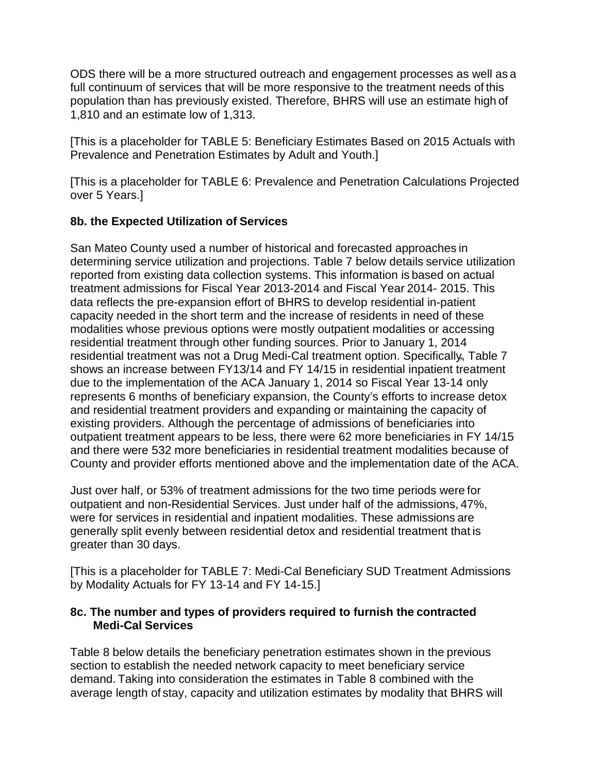ODS there will be a more structured outreach and engagement processes as well as a full continuum of services that will be more responsive to the treatment needs of this population than has previously existed. Therefore, BHRS will use an estimate high of 1,810 and an estimate low of 1,313.

[This is a placeholder for TABLE 5: Beneficiary Estimates Based on 2015 Actuals with Prevalence and Penetration Estimates by Adult and Youth.]

[This is a placeholder for TABLE 6: Prevalence and Penetration Calculations Projected over 5 Years.]

#### **8b. the Expected Utilization of Services**

San Mateo County used a number of historical and forecasted approaches in determining service utilization and projections. Table 7 below details service utilization reported from existing data collection systems. This information is based on actual treatment admissions for Fiscal Year 2013-2014 and Fiscal Year 2014- 2015. This data reflects the pre-expansion effort of BHRS to develop residential in-patient capacity needed in the short term and the increase of residents in need of these modalities whose previous options were mostly outpatient modalities or accessing residential treatment through other funding sources. Prior to January 1, 2014 residential treatment was not a Drug Medi-Cal treatment option. Specifically, Table 7 shows an increase between FY13/14 and FY 14/15 in residential inpatient treatment due to the implementation of the ACA January 1, 2014 so Fiscal Year 13-14 only represents 6 months of beneficiary expansion, the County's efforts to increase detox and residential treatment providers and expanding or maintaining the capacity of existing providers. Although the percentage of admissions of beneficiaries into outpatient treatment appears to be less, there were 62 more beneficiaries in FY 14/15 and there were 532 more beneficiaries in residential treatment modalities because of County and provider efforts mentioned above and the implementation date of the ACA.

Just over half, or 53% of treatment admissions for the two time periods were for outpatient and non-Residential Services. Just under half of the admissions, 47%, were for services in residential and inpatient modalities. These admissions are generally split evenly between residential detox and residential treatment that is greater than 30 days.

[This is a placeholder for TABLE 7: Medi-Cal Beneficiary SUD Treatment Admissions by Modality Actuals for FY 13-14 and FY 14-15.]

#### **8c. The number and types of providers required to furnish the contracted Medi-Cal Services**

Table 8 below details the beneficiary penetration estimates shown in the previous section to establish the needed network capacity to meet beneficiary service demand. Taking into consideration the estimates in Table 8 combined with the average length of stay, capacity and utilization estimates by modality that BHRS will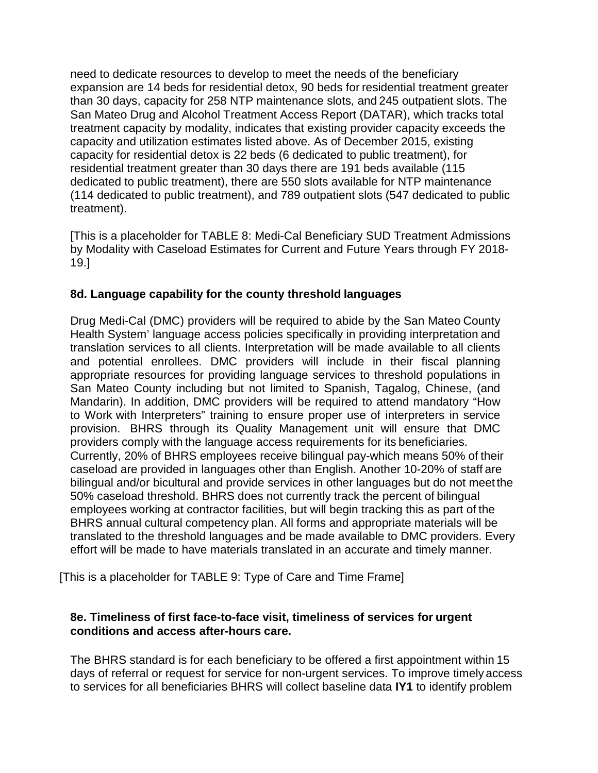need to dedicate resources to develop to meet the needs of the beneficiary expansion are 14 beds for residential detox, 90 beds for residential treatment greater than 30 days, capacity for 258 NTP maintenance slots, and 245 outpatient slots. The San Mateo Drug and Alcohol Treatment Access Report (DATAR), which tracks total treatment capacity by modality, indicates that existing provider capacity exceeds the capacity and utilization estimates listed above. As of December 2015, existing capacity for residential detox is 22 beds (6 dedicated to public treatment), for residential treatment greater than 30 days there are 191 beds available (115 dedicated to public treatment), there are 550 slots available for NTP maintenance (114 dedicated to public treatment), and 789 outpatient slots (547 dedicated to public treatment).

[This is a placeholder for TABLE 8: Medi-Cal Beneficiary SUD Treatment Admissions by Modality with Caseload Estimates for Current and Future Years through FY 2018- 19.]

#### **8d. Language capability for the county threshold languages**

Drug Medi-Cal (DMC) providers will be required to abide by the San Mateo County Health System' language access policies specifically in providing interpretation and translation services to all clients. Interpretation will be made available to all clients and potential enrollees. DMC providers will include in their fiscal planning appropriate resources for providing language services to threshold populations in San Mateo County including but not limited to Spanish, Tagalog, Chinese, (and Mandarin). In addition, DMC providers will be required to attend mandatory "How to Work with Interpreters" training to ensure proper use of interpreters in service provision. BHRS through its Quality Management unit will ensure that DMC providers comply with the language access requirements for its beneficiaries. Currently, 20% of BHRS employees receive bilingual pay-which means 50% of their caseload are provided in languages other than English. Another 10-20% of staff are bilingual and/or bicultural and provide services in other languages but do not meet the 50% caseload threshold. BHRS does not currently track the percent of bilingual employees working at contractor facilities, but will begin tracking this as part of the BHRS annual cultural competency plan. All forms and appropriate materials will be translated to the threshold languages and be made available to DMC providers. Every effort will be made to have materials translated in an accurate and timely manner.

[This is a placeholder for TABLE 9: Type of Care and Time Frame]

#### **8e. Timeliness of first face-to-face visit, timeliness of services for urgent conditions and access after-hours care.**

The BHRS standard is for each beneficiary to be offered a first appointment within 15 days of referral or request for service for non-urgent services. To improve timely access to services for all beneficiaries BHRS will collect baseline data **IY1** to identify problem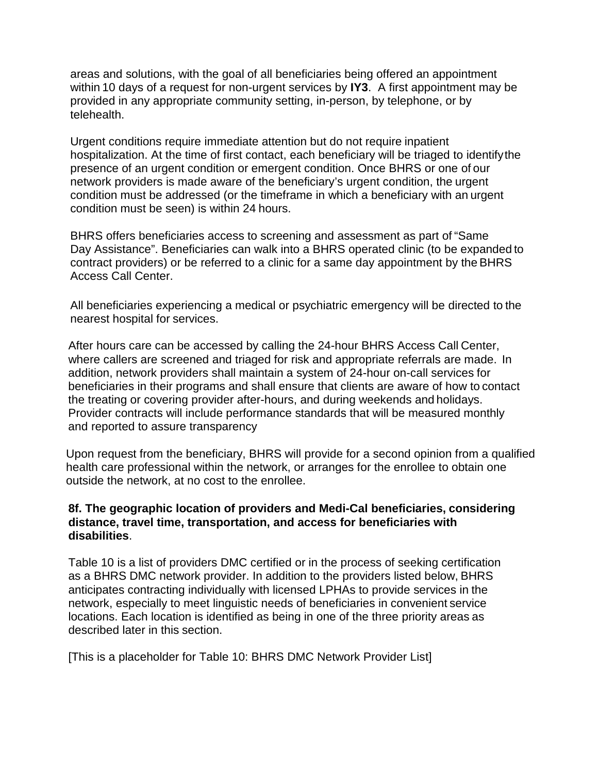areas and solutions, with the goal of all beneficiaries being offered an appointment within 10 days of a request for non-urgent services by **IY3**. A first appointment may be provided in any appropriate community setting, in-person, by telephone, or by telehealth.

Urgent conditions require immediate attention but do not require inpatient hospitalization. At the time of first contact, each beneficiary will be triaged to identifythe presence of an urgent condition or emergent condition. Once BHRS or one of our network providers is made aware of the beneficiary's urgent condition, the urgent condition must be addressed (or the timeframe in which a beneficiary with an urgent condition must be seen) is within 24 hours.

BHRS offers beneficiaries access to screening and assessment as part of "Same Day Assistance". Beneficiaries can walk into a BHRS operated clinic (to be expanded to contract providers) or be referred to a clinic for a same day appointment by the BHRS Access Call Center.

All beneficiaries experiencing a medical or psychiatric emergency will be directed to the nearest hospital for services.

After hours care can be accessed by calling the 24-hour BHRS Access Call Center, where callers are screened and triaged for risk and appropriate referrals are made. In addition, network providers shall maintain a system of 24-hour on-call services for beneficiaries in their programs and shall ensure that clients are aware of how to contact the treating or covering provider after-hours, and during weekends and holidays. Provider contracts will include performance standards that will be measured monthly and reported to assure transparency

Upon request from the beneficiary, BHRS will provide for a second opinion from a qualified health care professional within the network, or arranges for the enrollee to obtain one outside the network, at no cost to the enrollee.

#### **8f. The geographic location of providers and Medi-Cal beneficiaries, considering distance, travel time, transportation, and access for beneficiaries with disabilities**.

Table 10 is a list of providers DMC certified or in the process of seeking certification as a BHRS DMC network provider. In addition to the providers listed below, BHRS anticipates contracting individually with licensed LPHAs to provide services in the network, especially to meet linguistic needs of beneficiaries in convenient service locations. Each location is identified as being in one of the three priority areas as described later in this section.

[This is a placeholder for Table 10: BHRS DMC Network Provider List]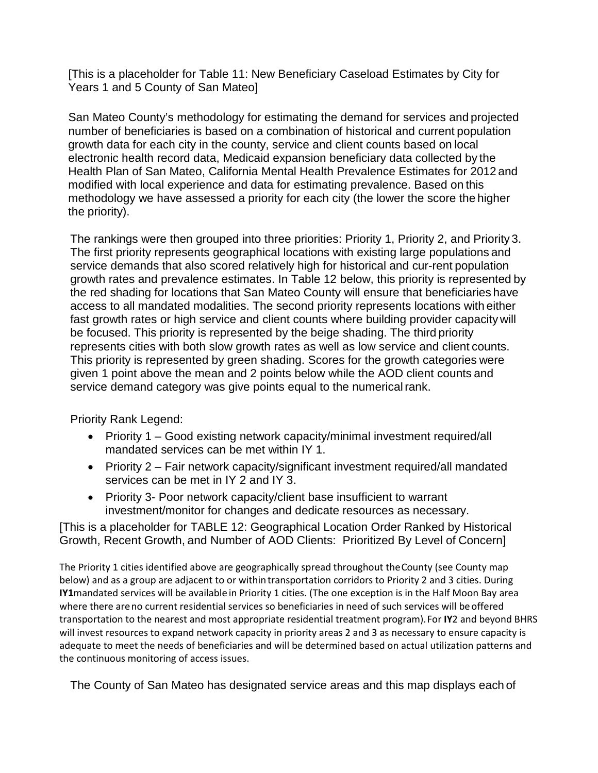[This is a placeholder for Table 11: New Beneficiary Caseload Estimates by City for Years 1 and 5 County of San Mateo]

San Mateo County's methodology for estimating the demand for services and projected number of beneficiaries is based on a combination of historical and current population growth data for each city in the county, service and client counts based on local electronic health record data, Medicaid expansion beneficiary data collected by the Health Plan of San Mateo, California Mental Health Prevalence Estimates for 2012 and modified with local experience and data for estimating prevalence. Based on this methodology we have assessed a priority for each city (the lower the score the higher the priority).

The rankings were then grouped into three priorities: Priority 1, Priority 2, and Priority 3. The first priority represents geographical locations with existing large populations and service demands that also scored relatively high for historical and cur-rent population growth rates and prevalence estimates. In Table 12 below, this priority is represented by the red shading for locations that San Mateo County will ensure that beneficiaries have access to all mandated modalities. The second priority represents locations with either fast growth rates or high service and client counts where building provider capacity will be focused. This priority is represented by the beige shading. The third priority represents cities with both slow growth rates as well as low service and client counts. This priority is represented by green shading. Scores for the growth categories were given 1 point above the mean and 2 points below while the AOD client counts and service demand category was give points equal to the numerical rank.

Priority Rank Legend:

- Priority 1 Good existing network capacity/minimal investment required/all mandated services can be met within IY 1.
- Priority 2 Fair network capacity/significant investment required/all mandated services can be met in IY 2 and IY 3.
- Priority 3- Poor network capacity/client base insufficient to warrant investment/monitor for changes and dedicate resources as necessary.

[This is a placeholder for TABLE 12: Geographical Location Order Ranked by Historical Growth, Recent Growth, and Number of AOD Clients: Prioritized By Level of Concern]

The Priority 1 cities identified above are geographically spread throughout theCounty (see County map below) and as a group are adjacent to or within transportation corridors to Priority 2 and 3 cities. During **IY1**mandated services will be available in Priority 1 cities. (The one exception is in the Half Moon Bay area where there areno current residential services so beneficiaries in need of such services will beoffered transportation to the nearest and most appropriate residential treatment program).For **IY**2 and beyond BHRS will invest resources to expand network capacity in priority areas 2 and 3 as necessary to ensure capacity is adequate to meet the needs of beneficiaries and will be determined based on actual utilization patterns and the continuous monitoring of access issues.

The County of San Mateo has designated service areas and this map displays each of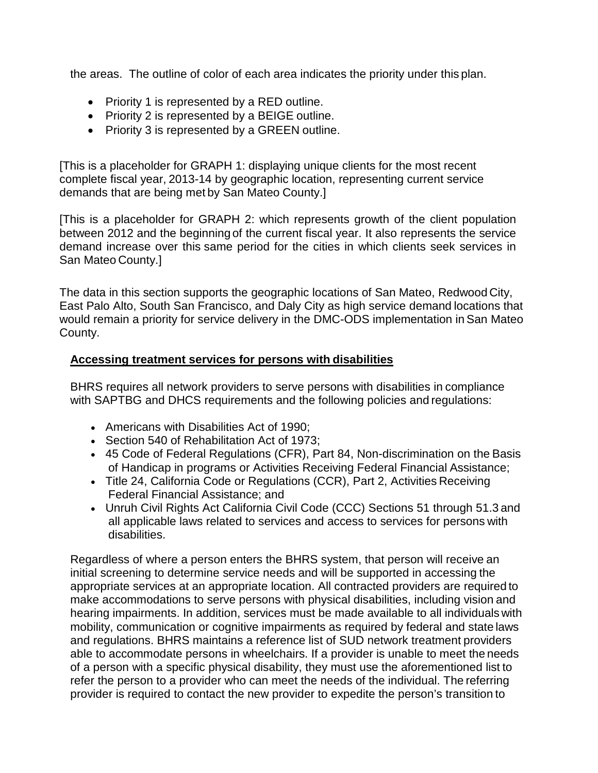the areas. The outline of color of each area indicates the priority under this plan.

- Priority 1 is represented by a RED outline.
- Priority 2 is represented by a BEIGE outline.
- Priority 3 is represented by a GREEN outline.

[This is a placeholder for GRAPH 1: displaying unique clients for the most recent complete fiscal year, 2013-14 by geographic location, representing current service demands that are being met by San Mateo County.]

[This is a placeholder for GRAPH 2: which represents growth of the client population between 2012 and the beginning of the current fiscal year. It also represents the service demand increase over this same period for the cities in which clients seek services in San Mateo County.]

The data in this section supports the geographic locations of San Mateo, Redwood City, East Palo Alto, South San Francisco, and Daly City as high service demand locations that would remain a priority for service delivery in the DMC-ODS implementation in San Mateo County.

#### **Accessing treatment services for persons with disabilities**

BHRS requires all network providers to serve persons with disabilities in compliance with SAPTBG and DHCS requirements and the following policies and regulations:

- Americans with Disabilities Act of 1990;
- Section 540 of Rehabilitation Act of 1973;
- 45 Code of Federal Regulations (CFR), Part 84, Non-discrimination on the Basis of Handicap in programs or Activities Receiving Federal Financial Assistance;
- Title 24, California Code or Regulations (CCR), Part 2, Activities Receiving Federal Financial Assistance; and
- Unruh Civil Rights Act California Civil Code (CCC) Sections 51 through 51.3 and all applicable laws related to services and access to services for persons with disabilities.

Regardless of where a person enters the BHRS system, that person will receive an initial screening to determine service needs and will be supported in accessing the appropriate services at an appropriate location. All contracted providers are required to make accommodations to serve persons with physical disabilities, including vision and hearing impairments. In addition, services must be made available to all individuals with mobility, communication or cognitive impairments as required by federal and state laws and regulations. BHRS maintains a reference list of SUD network treatment providers able to accommodate persons in wheelchairs. If a provider is unable to meet the needs of a person with a specific physical disability, they must use the aforementioned list to refer the person to a provider who can meet the needs of the individual. The referring provider is required to contact the new provider to expedite the person's transition to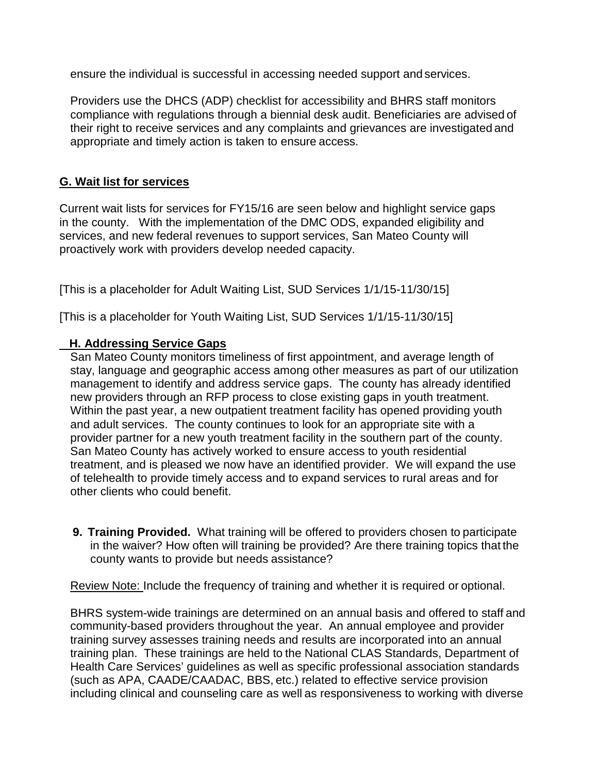ensure the individual is successful in accessing needed support and services.

Providers use the DHCS (ADP) checklist for accessibility and BHRS staff monitors compliance with regulations through a biennial desk audit. Beneficiaries are advised of their right to receive services and any complaints and grievances are investigated and appropriate and timely action is taken to ensure access.

#### **G. Wait list for services**

Current wait lists for services for FY15/16 are seen below and highlight service gaps in the county. With the implementation of the DMC ODS, expanded eligibility and services, and new federal revenues to support services, San Mateo County will proactively work with providers develop needed capacity.

[This is a placeholder for Adult Waiting List, SUD Services 1/1/15-11/30/15]

[This is a placeholder for Youth Waiting List, SUD Services 1/1/15-11/30/15]

#### **H. Addressing Service Gaps**

San Mateo County monitors timeliness of first appointment, and average length of stay, language and geographic access among other measures as part of our utilization management to identify and address service gaps. The county has already identified new providers through an RFP process to close existing gaps in youth treatment. Within the past year, a new outpatient treatment facility has opened providing youth and adult services. The county continues to look for an appropriate site with a provider partner for a new youth treatment facility in the southern part of the county. San Mateo County has actively worked to ensure access to youth residential treatment, and is pleased we now have an identified provider. We will expand the use of telehealth to provide timely access and to expand services to rural areas and for other clients who could benefit.

**9. Training Provided.** What training will be offered to providers chosen to participate in the waiver? How often will training be provided? Are there training topics that the county wants to provide but needs assistance?

Review Note: Include the frequency of training and whether it is required or optional.

BHRS system-wide trainings are determined on an annual basis and offered to staff and community-based providers throughout the year. An annual employee and provider training survey assesses training needs and results are incorporated into an annual training plan. These trainings are held to the National CLAS Standards, Department of Health Care Services' guidelines as well as specific professional association standards (such as APA, CAADE/CAADAC, BBS, etc.) related to effective service provision including clinical and counseling care as well as responsiveness to working with diverse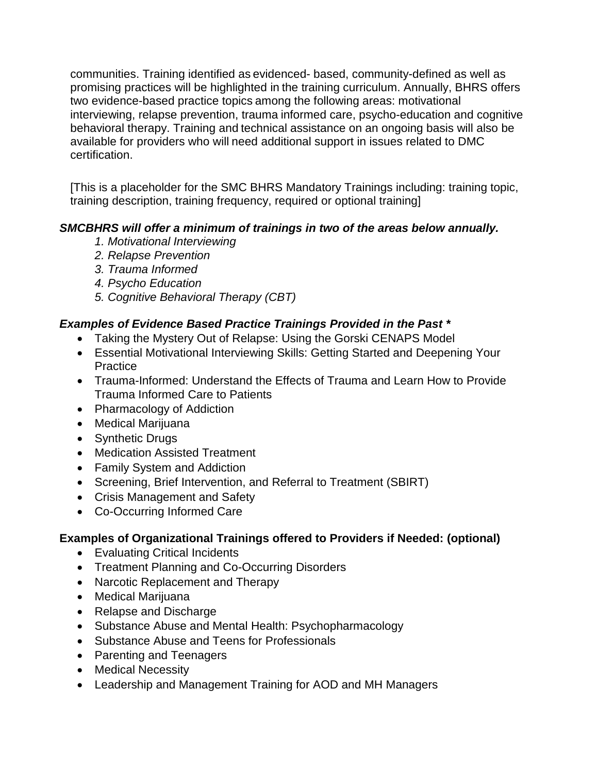communities. Training identified as evidenced- based, community-defined as well as promising practices will be highlighted in the training curriculum. Annually, BHRS offers two evidence-based practice topics among the following areas: motivational interviewing, relapse prevention, trauma informed care, psycho-education and cognitive behavioral therapy. Training and technical assistance on an ongoing basis will also be available for providers who will need additional support in issues related to DMC certification.

[This is a placeholder for the SMC BHRS Mandatory Trainings including: training topic, training description, training frequency, required or optional training]

#### *SMCBHRS will offer a minimum of trainings in two of the areas below annually.*

- *1. Motivational Interviewing*
- *2. Relapse Prevention*
- *3. Trauma Informed*
- *4. Psycho Education*
- *5. Cognitive Behavioral Therapy (CBT)*

#### *Examples of Evidence Based Practice Trainings Provided in the Past \**

- Taking the Mystery Out of Relapse: Using the Gorski CENAPS Model
- Essential Motivational Interviewing Skills: Getting Started and Deepening Your **Practice**
- Trauma-Informed: Understand the Effects of Trauma and Learn How to Provide Trauma Informed Care to Patients
- Pharmacology of Addiction
- Medical Marijuana
- Synthetic Drugs
- Medication Assisted Treatment
- Family System and Addiction
- Screening, Brief Intervention, and Referral to Treatment (SBIRT)
- Crisis Management and Safety
- Co-Occurring Informed Care

#### **Examples of Organizational Trainings offered to Providers if Needed: (optional)**

- Evaluating Critical Incidents
- Treatment Planning and Co-Occurring Disorders
- Narcotic Replacement and Therapy
- Medical Marijuana
- Relapse and Discharge
- Substance Abuse and Mental Health: Psychopharmacology
- Substance Abuse and Teens for Professionals
- Parenting and Teenagers
- Medical Necessity
- Leadership and Management Training for AOD and MH Managers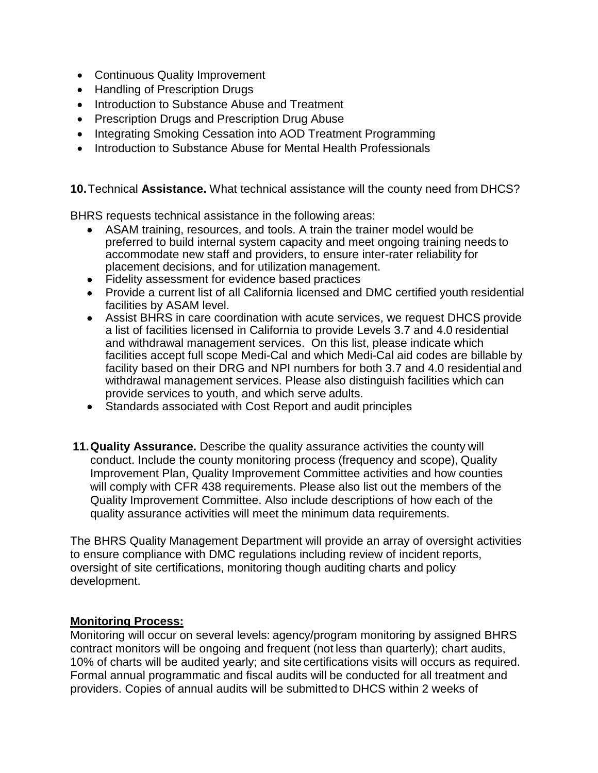- Continuous Quality Improvement
- Handling of Prescription Drugs
- Introduction to Substance Abuse and Treatment
- Prescription Drugs and Prescription Drug Abuse
- Integrating Smoking Cessation into AOD Treatment Programming
- Introduction to Substance Abuse for Mental Health Professionals

**10.**Technical **Assistance.** What technical assistance will the county need from DHCS?

BHRS requests technical assistance in the following areas:

- ASAM training, resources, and tools. A train the trainer model would be preferred to build internal system capacity and meet ongoing training needs to accommodate new staff and providers, to ensure inter-rater reliability for placement decisions, and for utilization management.
- Fidelity assessment for evidence based practices
- Provide a current list of all California licensed and DMC certified youth residential facilities by ASAM level.
- Assist BHRS in care coordination with acute services, we request DHCS provide a list of facilities licensed in California to provide Levels 3.7 and 4.0 residential and withdrawal management services. On this list, please indicate which facilities accept full scope Medi-Cal and which Medi-Cal aid codes are billable by facility based on their DRG and NPI numbers for both 3.7 and 4.0 residential and withdrawal management services. Please also distinguish facilities which can provide services to youth, and which serve adults.
- Standards associated with Cost Report and audit principles
- **11.Quality Assurance.** Describe the quality assurance activities the county will conduct. Include the county monitoring process (frequency and scope), Quality Improvement Plan, Quality Improvement Committee activities and how counties will comply with CFR 438 requirements. Please also list out the members of the Quality Improvement Committee. Also include descriptions of how each of the quality assurance activities will meet the minimum data requirements.

The BHRS Quality Management Department will provide an array of oversight activities to ensure compliance with DMC regulations including review of incident reports, oversight of site certifications, monitoring though auditing charts and policy development.

#### **Monitoring Process:**

Monitoring will occur on several levels: agency/program monitoring by assigned BHRS contract monitors will be ongoing and frequent (not less than quarterly); chart audits, 10% of charts will be audited yearly; and site certifications visits will occurs as required. Formal annual programmatic and fiscal audits will be conducted for all treatment and providers. Copies of annual audits will be submitted to DHCS within 2 weeks of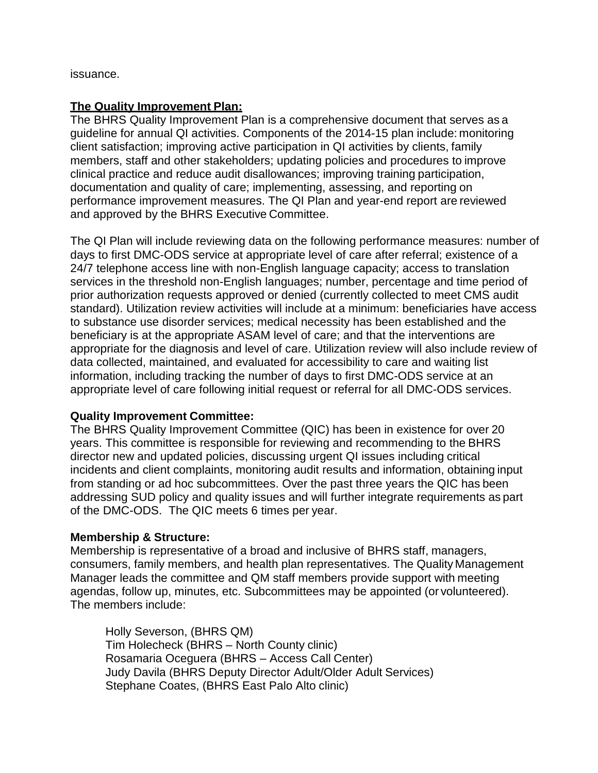issuance.

#### **The Quality Improvement Plan:**

The BHRS Quality Improvement Plan is a comprehensive document that serves as a guideline for annual QI activities. Components of the 2014-15 plan include: monitoring client satisfaction; improving active participation in QI activities by clients, family members, staff and other stakeholders; updating policies and procedures to improve clinical practice and reduce audit disallowances; improving training participation, documentation and quality of care; implementing, assessing, and reporting on performance improvement measures. The QI Plan and year-end report are reviewed and approved by the BHRS Executive Committee.

The QI Plan will include reviewing data on the following performance measures: number of days to first DMC-ODS service at appropriate level of care after referral; existence of a 24/7 telephone access line with non-English language capacity; access to translation services in the threshold non-English languages; number, percentage and time period of prior authorization requests approved or denied (currently collected to meet CMS audit standard). Utilization review activities will include at a minimum: beneficiaries have access to substance use disorder services; medical necessity has been established and the beneficiary is at the appropriate ASAM level of care; and that the interventions are appropriate for the diagnosis and level of care. Utilization review will also include review of data collected, maintained, and evaluated for accessibility to care and waiting list information, including tracking the number of days to first DMC-ODS service at an appropriate level of care following initial request or referral for all DMC-ODS services.

#### **Quality Improvement Committee:**

The BHRS Quality Improvement Committee (QIC) has been in existence for over 20 years. This committee is responsible for reviewing and recommending to the BHRS director new and updated policies, discussing urgent QI issues including critical incidents and client complaints, monitoring audit results and information, obtaining input from standing or ad hoc subcommittees. Over the past three years the QIC has been addressing SUD policy and quality issues and will further integrate requirements as part of the DMC-ODS. The QIC meets 6 times per year.

#### **Membership & Structure:**

Membership is representative of a broad and inclusive of BHRS staff, managers, consumers, family members, and health plan representatives. The Quality Management Manager leads the committee and QM staff members provide support with meeting agendas, follow up, minutes, etc. Subcommittees may be appointed (or volunteered). The members include:

Holly Severson, (BHRS QM) Tim Holecheck (BHRS – North County clinic) Rosamaria Oceguera (BHRS – Access Call Center) Judy Davila (BHRS Deputy Director Adult/Older Adult Services) Stephane Coates, (BHRS East Palo Alto clinic)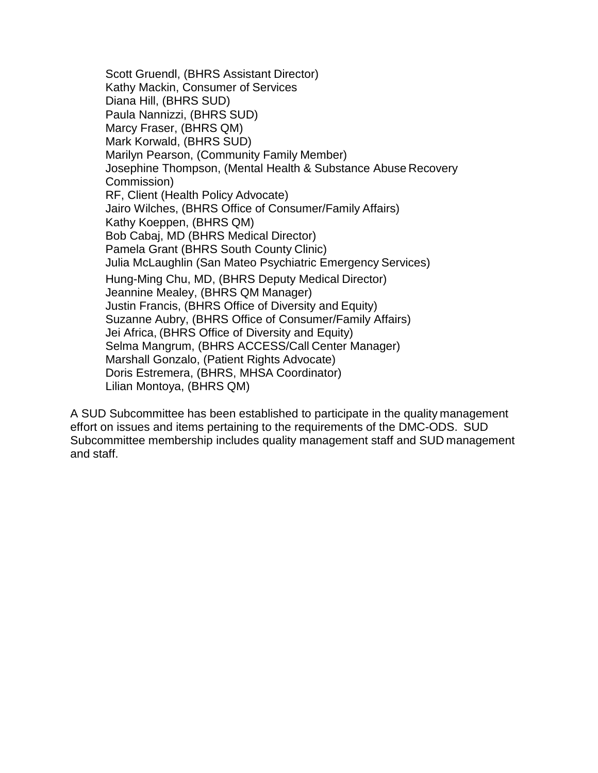Scott Gruendl, (BHRS Assistant Director) Kathy Mackin, Consumer of Services Diana Hill, (BHRS SUD) Paula Nannizzi, (BHRS SUD) Marcy Fraser, (BHRS QM) Mark Korwald, (BHRS SUD) Marilyn Pearson, (Community Family Member) Josephine Thompson, (Mental Health & Substance Abuse Recovery Commission) RF, Client (Health Policy Advocate) Jairo Wilches, (BHRS Office of Consumer/Family Affairs) Kathy Koeppen, (BHRS QM) Bob Cabaj, MD (BHRS Medical Director) Pamela Grant (BHRS South County Clinic) Julia McLaughlin (San Mateo Psychiatric Emergency Services) Hung-Ming Chu, MD, (BHRS Deputy Medical Director) Jeannine Mealey, (BHRS QM Manager) Justin Francis, (BHRS Office of Diversity and Equity) Suzanne Aubry, (BHRS Office of Consumer/Family Affairs) Jei Africa, (BHRS Office of Diversity and Equity) Selma Mangrum, (BHRS ACCESS/Call Center Manager) Marshall Gonzalo, (Patient Rights Advocate) Doris Estremera, (BHRS, MHSA Coordinator) Lilian Montoya, (BHRS QM)

A SUD Subcommittee has been established to participate in the quality management effort on issues and items pertaining to the requirements of the DMC-ODS. SUD Subcommittee membership includes quality management staff and SUD management and staff.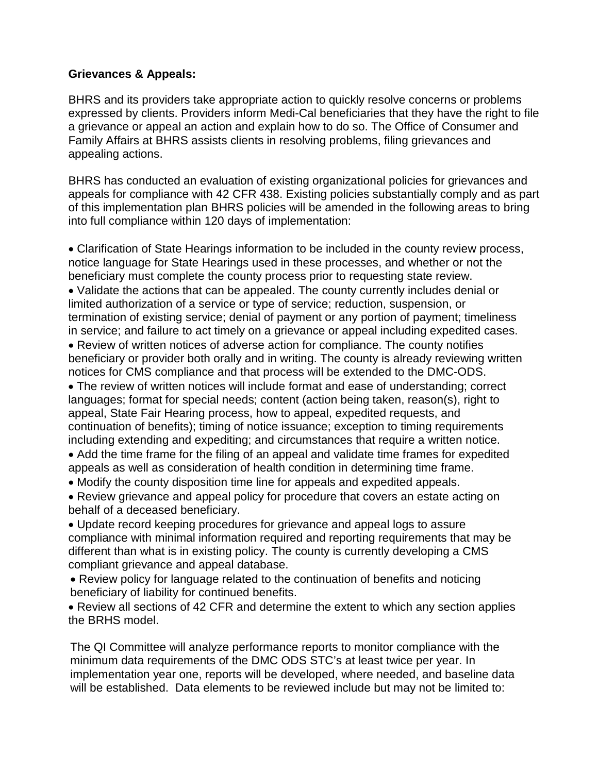#### **Grievances & Appeals:**

BHRS and its providers take appropriate action to quickly resolve concerns or problems expressed by clients. Providers inform Medi-Cal beneficiaries that they have the right to file a grievance or appeal an action and explain how to do so. The Office of Consumer and Family Affairs at BHRS assists clients in resolving problems, filing grievances and appealing actions.

BHRS has conducted an evaluation of existing organizational policies for grievances and appeals for compliance with 42 CFR 438. Existing policies substantially comply and as part of this implementation plan BHRS policies will be amended in the following areas to bring into full compliance within 120 days of implementation:

• Clarification of State Hearings information to be included in the county review process, notice language for State Hearings used in these processes, and whether or not the beneficiary must complete the county process prior to requesting state review. • Validate the actions that can be appealed. The county currently includes denial or limited authorization of a service or type of service; reduction, suspension, or termination of existing service; denial of payment or any portion of payment; timeliness

in service; and failure to act timely on a grievance or appeal including expedited cases.

• Review of written notices of adverse action for compliance. The county notifies beneficiary or provider both orally and in writing. The county is already reviewing written notices for CMS compliance and that process will be extended to the DMC-ODS.

• The review of written notices will include format and ease of understanding; correct languages; format for special needs; content (action being taken, reason(s), right to appeal, State Fair Hearing process, how to appeal, expedited requests, and continuation of benefits); timing of notice issuance; exception to timing requirements including extending and expediting; and circumstances that require a written notice.

• Add the time frame for the filing of an appeal and validate time frames for expedited appeals as well as consideration of health condition in determining time frame.

• Modify the county disposition time line for appeals and expedited appeals.

• Review grievance and appeal policy for procedure that covers an estate acting on behalf of a deceased beneficiary.

• Update record keeping procedures for grievance and appeal logs to assure compliance with minimal information required and reporting requirements that may be different than what is in existing policy. The county is currently developing a CMS compliant grievance and appeal database.

• Review policy for language related to the continuation of benefits and noticing beneficiary of liability for continued benefits.

• Review all sections of 42 CFR and determine the extent to which any section applies the BRHS model.

The QI Committee will analyze performance reports to monitor compliance with the minimum data requirements of the DMC ODS STC's at least twice per year. In implementation year one, reports will be developed, where needed, and baseline data will be established. Data elements to be reviewed include but may not be limited to: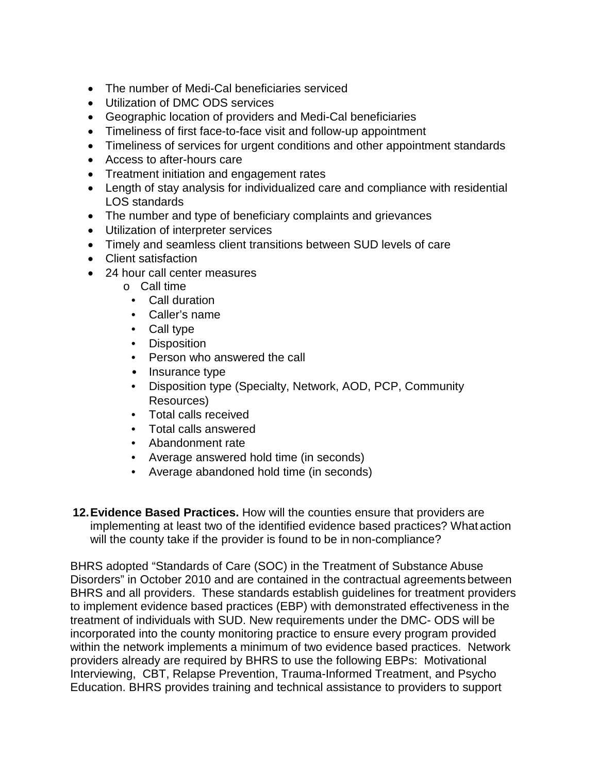- The number of Medi-Cal beneficiaries serviced
- Utilization of DMC ODS services
- Geographic location of providers and Medi-Cal beneficiaries
- Timeliness of first face-to-face visit and follow-up appointment
- Timeliness of services for urgent conditions and other appointment standards
- Access to after-hours care
- Treatment initiation and engagement rates
- Length of stay analysis for individualized care and compliance with residential LOS standards
- The number and type of beneficiary complaints and grievances
- Utilization of interpreter services
- Timely and seamless client transitions between SUD levels of care
- Client satisfaction
- 24 hour call center measures
	- o Call time
		- Call duration
		- Caller's name
		- Call type
		- Disposition
		- Person who answered the call
		- Insurance type
		- Disposition type (Specialty, Network, AOD, PCP, Community Resources)
		- Total calls received
		- Total calls answered
		- Abandonment rate
		- Average answered hold time (in seconds)
		- Average abandoned hold time (in seconds)
- **12.Evidence Based Practices.** How will the counties ensure that providers are implementing at least two of the identified evidence based practices? What action will the county take if the provider is found to be in non-compliance?

BHRS adopted "Standards of Care (SOC) in the Treatment of Substance Abuse Disorders" in October 2010 and are contained in the contractual agreements between BHRS and all providers. These standards establish guidelines for treatment providers to implement evidence based practices (EBP) with demonstrated effectiveness in the treatment of individuals with SUD. New requirements under the DMC- ODS will be incorporated into the county monitoring practice to ensure every program provided within the network implements a minimum of two evidence based practices. Network providers already are required by BHRS to use the following EBPs: Motivational Interviewing, CBT, Relapse Prevention, Trauma-Informed Treatment, and Psycho Education. BHRS provides training and technical assistance to providers to support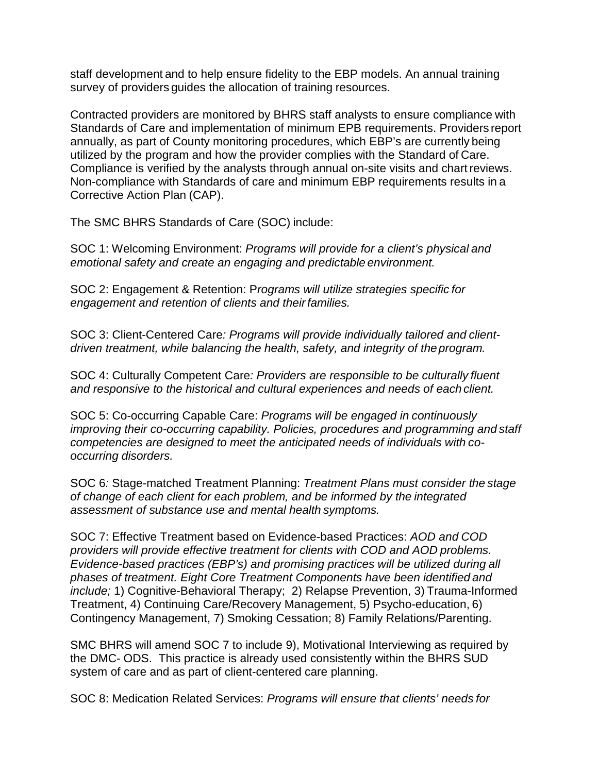staff development and to help ensure fidelity to the EBP models. An annual training survey of providers guides the allocation of training resources.

Contracted providers are monitored by BHRS staff analysts to ensure compliance with Standards of Care and implementation of minimum EPB requirements. Providers report annually, as part of County monitoring procedures, which EBP's are currently being utilized by the program and how the provider complies with the Standard of Care. Compliance is verified by the analysts through annual on-site visits and chartreviews. Non-compliance with Standards of care and minimum EBP requirements results in a Corrective Action Plan (CAP).

The SMC BHRS Standards of Care (SOC) include:

SOC 1: Welcoming Environment: *Programs will provide for a client's physical and emotional safety and create an engaging and predictable environment.*

SOC 2: Engagement & Retention: P*rograms will utilize strategies specific for engagement and retention of clients and theirfamilies.*

SOC 3: Client-Centered Care*: Programs will provide individually tailored and clientdriven treatment, while balancing the health, safety, and integrity of theprogram.*

SOC 4: Culturally Competent Care*: Providers are responsible to be culturally fluent and responsive to the historical and cultural experiences and needs of each client.*

SOC 5: Co-occurring Capable Care: *Programs will be engaged in continuously improving their co-occurring capability. Policies, procedures and programming and staff competencies are designed to meet the anticipated needs of individuals with cooccurring disorders.*

SOC 6*:* Stage-matched Treatment Planning: *Treatment Plans must consider the stage of change of each client for each problem, and be informed by the integrated assessment of substance use and mental health symptoms.*

SOC 7: Effective Treatment based on Evidence-based Practices: *AOD and COD providers will provide effective treatment for clients with COD and AOD problems. Evidence-based practices (EBP's) and promising practices will be utilized during all phases of treatment. Eight Core Treatment Components have been identified and include;* 1) Cognitive-Behavioral Therapy; 2) Relapse Prevention, 3) Trauma-Informed Treatment, 4) Continuing Care/Recovery Management, 5) Psycho-education, 6) Contingency Management, 7) Smoking Cessation; 8) Family Relations/Parenting.

SMC BHRS will amend SOC 7 to include 9), Motivational Interviewing as required by the DMC- ODS. This practice is already used consistently within the BHRS SUD system of care and as part of client-centered care planning.

SOC 8: Medication Related Services: *Programs will ensure that clients' needs for*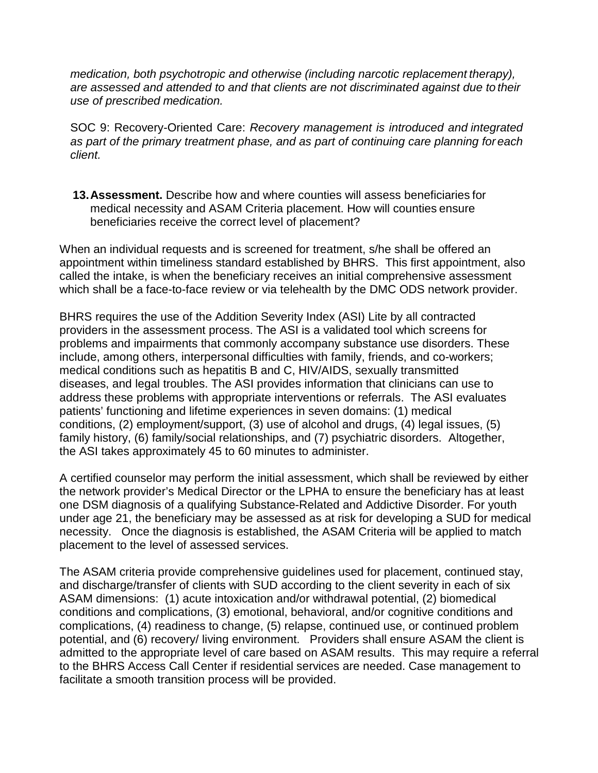*medication, both psychotropic and otherwise (including narcotic replacement therapy), are assessed and attended to and that clients are not discriminated against due to their use of prescribed medication.*

SOC 9: Recovery-Oriented Care: *Recovery management is introduced and integrated as part of the primary treatment phase, and as part of continuing care planning for each client.*

**13.Assessment.** Describe how and where counties will assess beneficiaries for medical necessity and ASAM Criteria placement. How will counties ensure beneficiaries receive the correct level of placement?

When an individual requests and is screened for treatment, s/he shall be offered an appointment within timeliness standard established by BHRS. This first appointment, also called the intake, is when the beneficiary receives an initial comprehensive assessment which shall be a face-to-face review or via telehealth by the DMC ODS network provider.

BHRS requires the use of the Addition Severity Index (ASI) Lite by all contracted providers in the assessment process. The ASI is a validated tool which screens for problems and impairments that commonly accompany substance use disorders. These include, among others, interpersonal difficulties with family, friends, and co-workers; medical conditions such as hepatitis B and C, HIV/AIDS, sexually transmitted diseases, and legal troubles. The ASI provides information that clinicians can use to address these problems with appropriate interventions or referrals. The ASI evaluates patients' functioning and lifetime experiences in seven domains: (1) medical conditions, (2) employment/support, (3) use of alcohol and drugs, (4) legal issues, (5) family history, (6) family/social relationships, and (7) psychiatric disorders. Altogether, the ASI takes approximately 45 to 60 minutes to administer.

A certified counselor may perform the initial assessment, which shall be reviewed by either the network provider's Medical Director or the LPHA to ensure the beneficiary has at least one DSM diagnosis of a qualifying Substance-Related and Addictive Disorder. For youth under age 21, the beneficiary may be assessed as at risk for developing a SUD for medical necessity. Once the diagnosis is established, the ASAM Criteria will be applied to match placement to the level of assessed services.

The ASAM criteria provide comprehensive guidelines used for placement, continued stay, and discharge/transfer of clients with SUD according to the client severity in each of six ASAM dimensions: (1) acute intoxication and/or withdrawal potential, (2) biomedical conditions and complications, (3) emotional, behavioral, and/or cognitive conditions and complications, (4) readiness to change, (5) relapse, continued use, or continued problem potential, and (6) recovery/ living environment. Providers shall ensure ASAM the client is admitted to the appropriate level of care based on ASAM results. This may require a referral to the BHRS Access Call Center if residential services are needed. Case management to facilitate a smooth transition process will be provided.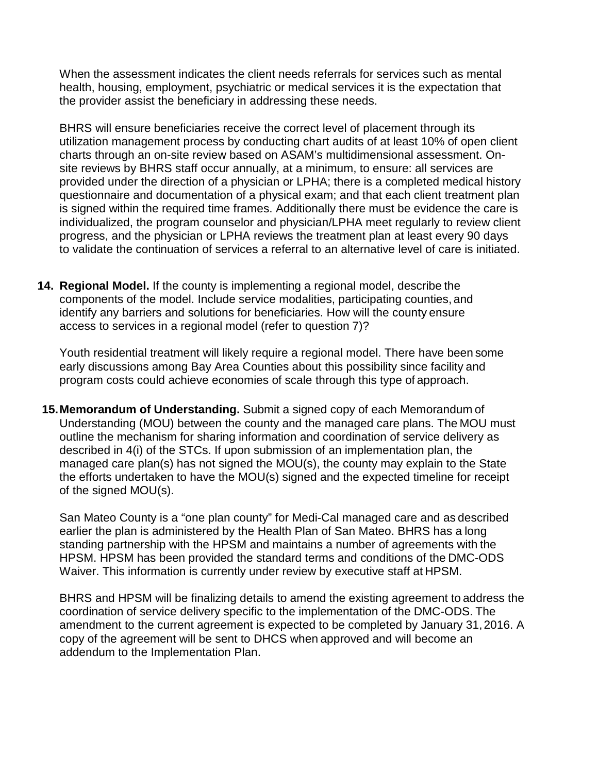When the assessment indicates the client needs referrals for services such as mental health, housing, employment, psychiatric or medical services it is the expectation that the provider assist the beneficiary in addressing these needs.

BHRS will ensure beneficiaries receive the correct level of placement through its utilization management process by conducting chart audits of at least 10% of open client charts through an on-site review based on ASAM's multidimensional assessment. Onsite reviews by BHRS staff occur annually, at a minimum, to ensure: all services are provided under the direction of a physician or LPHA; there is a completed medical history questionnaire and documentation of a physical exam; and that each client treatment plan is signed within the required time frames. Additionally there must be evidence the care is individualized, the program counselor and physician/LPHA meet regularly to review client progress, and the physician or LPHA reviews the treatment plan at least every 90 days to validate the continuation of services a referral to an alternative level of care is initiated.

**14. Regional Model.** If the county is implementing a regional model, describe the components of the model. Include service modalities, participating counties, and identify any barriers and solutions for beneficiaries. How will the county ensure access to services in a regional model (refer to question 7)?

Youth residential treatment will likely require a regional model. There have been some early discussions among Bay Area Counties about this possibility since facility and program costs could achieve economies of scale through this type of approach.

**15.Memorandum of Understanding.** Submit a signed copy of each Memorandum of Understanding (MOU) between the county and the managed care plans. The MOU must outline the mechanism for sharing information and coordination of service delivery as described in 4(i) of the STCs. If upon submission of an implementation plan, the managed care plan(s) has not signed the MOU(s), the county may explain to the State the efforts undertaken to have the MOU(s) signed and the expected timeline for receipt of the signed MOU(s).

San Mateo County is a "one plan county" for Medi-Cal managed care and as described earlier the plan is administered by the Health Plan of San Mateo. BHRS has a long standing partnership with the HPSM and maintains a number of agreements with the HPSM. HPSM has been provided the standard terms and conditions of the DMC-ODS Waiver. This information is currently under review by executive staff at HPSM.

BHRS and HPSM will be finalizing details to amend the existing agreement to address the coordination of service delivery specific to the implementation of the DMC-ODS. The amendment to the current agreement is expected to be completed by January 31,2016. A copy of the agreement will be sent to DHCS when approved and will become an addendum to the Implementation Plan.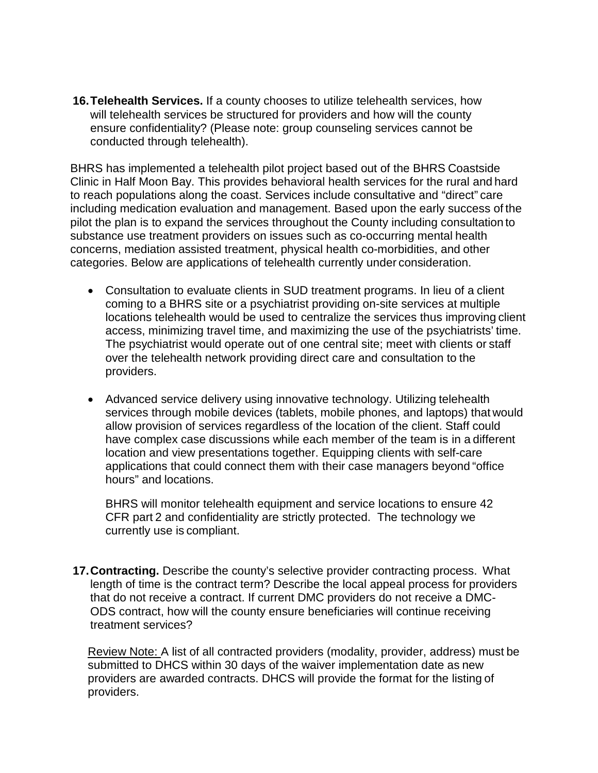**16.Telehealth Services.** If a county chooses to utilize telehealth services, how will telehealth services be structured for providers and how will the county ensure confidentiality? (Please note: group counseling services cannot be conducted through telehealth).

BHRS has implemented a telehealth pilot project based out of the BHRS Coastside Clinic in Half Moon Bay. This provides behavioral health services for the rural and hard to reach populations along the coast. Services include consultative and "direct" care including medication evaluation and management. Based upon the early success of the pilot the plan is to expand the services throughout the County including consultation to substance use treatment providers on issues such as co-occurring mental health concerns, mediation assisted treatment, physical health co-morbidities, and other categories. Below are applications of telehealth currently under consideration.

- Consultation to evaluate clients in SUD treatment programs. In lieu of a client coming to a BHRS site or a psychiatrist providing on-site services at multiple locations telehealth would be used to centralize the services thus improving client access, minimizing travel time, and maximizing the use of the psychiatrists' time. The psychiatrist would operate out of one central site; meet with clients or staff over the telehealth network providing direct care and consultation to the providers.
- Advanced service delivery using innovative technology. Utilizing telehealth services through mobile devices (tablets, mobile phones, and laptops) that would allow provision of services regardless of the location of the client. Staff could have complex case discussions while each member of the team is in a different location and view presentations together. Equipping clients with self-care applications that could connect them with their case managers beyond "office hours" and locations.

BHRS will monitor telehealth equipment and service locations to ensure 42 CFR part 2 and confidentiality are strictly protected. The technology we currently use is compliant.

**17.Contracting.** Describe the county's selective provider contracting process. What length of time is the contract term? Describe the local appeal process for providers that do not receive a contract. If current DMC providers do not receive a DMC-ODS contract, how will the county ensure beneficiaries will continue receiving treatment services?

Review Note: A list of all contracted providers (modality, provider, address) must be submitted to DHCS within 30 days of the waiver implementation date as new providers are awarded contracts. DHCS will provide the format for the listing of providers.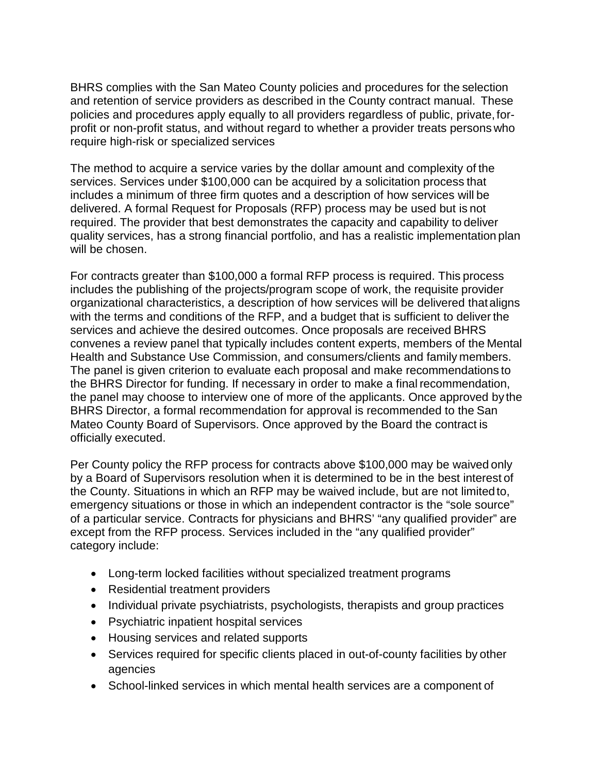BHRS complies with the San Mateo County policies and procedures for the selection and retention of service providers as described in the County contract manual. These policies and procedures apply equally to all providers regardless of public, private, forprofit or non-profit status, and without regard to whether a provider treats persons who require high-risk or specialized services

The method to acquire a service varies by the dollar amount and complexity of the services. Services under \$100,000 can be acquired by a solicitation process that includes a minimum of three firm quotes and a description of how services will be delivered. A formal Request for Proposals (RFP) process may be used but is not required. The provider that best demonstrates the capacity and capability to deliver quality services, has a strong financial portfolio, and has a realistic implementation plan will be chosen.

For contracts greater than \$100,000 a formal RFP process is required. This process includes the publishing of the projects/program scope of work, the requisite provider organizational characteristics, a description of how services will be delivered thataligns with the terms and conditions of the RFP, and a budget that is sufficient to deliver the services and achieve the desired outcomes. Once proposals are received BHRS convenes a review panel that typically includes content experts, members of the Mental Health and Substance Use Commission, and consumers/clients and family members. The panel is given criterion to evaluate each proposal and make recommendations to the BHRS Director for funding. If necessary in order to make a final recommendation, the panel may choose to interview one of more of the applicants. Once approved by the BHRS Director, a formal recommendation for approval is recommended to the San Mateo County Board of Supervisors. Once approved by the Board the contract is officially executed.

Per County policy the RFP process for contracts above \$100,000 may be waived only by a Board of Supervisors resolution when it is determined to be in the best interest of the County. Situations in which an RFP may be waived include, but are not limited to, emergency situations or those in which an independent contractor is the "sole source" of a particular service. Contracts for physicians and BHRS' "any qualified provider" are except from the RFP process. Services included in the "any qualified provider" category include:

- Long-term locked facilities without specialized treatment programs
- Residential treatment providers
- Individual private psychiatrists, psychologists, therapists and group practices
- Psychiatric inpatient hospital services
- Housing services and related supports
- Services required for specific clients placed in out-of-county facilities by other agencies
- School-linked services in which mental health services are a component of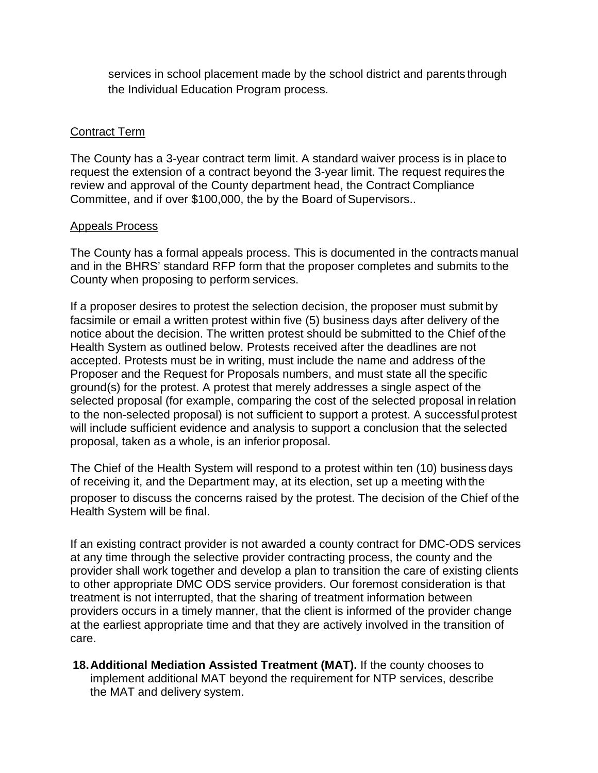services in school placement made by the school district and parents through the Individual Education Program process.

#### Contract Term

The County has a 3-year contract term limit. A standard waiver process is in place to request the extension of a contract beyond the 3-year limit. The request requires the review and approval of the County department head, the Contract Compliance Committee, and if over \$100,000, the by the Board of Supervisors..

#### Appeals Process

The County has a formal appeals process. This is documented in the contracts manual and in the BHRS' standard RFP form that the proposer completes and submits to the County when proposing to perform services.

If a proposer desires to protest the selection decision, the proposer must submit by facsimile or email a written protest within five (5) business days after delivery of the notice about the decision. The written protest should be submitted to the Chief of the Health System as outlined below. Protests received after the deadlines are not accepted. Protests must be in writing, must include the name and address of the Proposer and the Request for Proposals numbers, and must state all the specific ground(s) for the protest. A protest that merely addresses a single aspect of the selected proposal (for example, comparing the cost of the selected proposal in relation to the non-selected proposal) is not sufficient to support a protest. A successfulprotest will include sufficient evidence and analysis to support a conclusion that the selected proposal, taken as a whole, is an inferior proposal.

The Chief of the Health System will respond to a protest within ten (10) business days of receiving it, and the Department may, at its election, set up a meeting with the proposer to discuss the concerns raised by the protest. The decision of the Chief of the Health System will be final.

If an existing contract provider is not awarded a county contract for DMC-ODS services at any time through the selective provider contracting process, the county and the provider shall work together and develop a plan to transition the care of existing clients to other appropriate DMC ODS service providers. Our foremost consideration is that treatment is not interrupted, that the sharing of treatment information between providers occurs in a timely manner, that the client is informed of the provider change at the earliest appropriate time and that they are actively involved in the transition of care.

**18.Additional Mediation Assisted Treatment (MAT).** If the county chooses to implement additional MAT beyond the requirement for NTP services, describe the MAT and delivery system.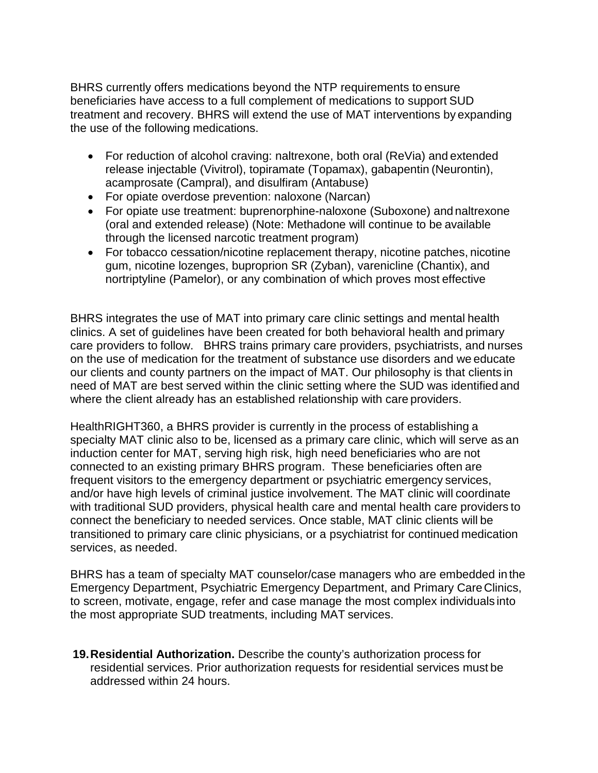BHRS currently offers medications beyond the NTP requirements to ensure beneficiaries have access to a full complement of medications to support SUD treatment and recovery. BHRS will extend the use of MAT interventions by expanding the use of the following medications.

- For reduction of alcohol craving: naltrexone, both oral (ReVia) and extended release injectable (Vivitrol), topiramate (Topamax), gabapentin (Neurontin), acamprosate (Campral), and disulfiram (Antabuse)
- For opiate overdose prevention: naloxone (Narcan)
- For opiate use treatment: buprenorphine-naloxone (Suboxone) and naltrexone (oral and extended release) (Note: Methadone will continue to be available through the licensed narcotic treatment program)
- For tobacco cessation/nicotine replacement therapy, nicotine patches, nicotine gum, nicotine lozenges, buproprion SR (Zyban), varenicline (Chantix), and nortriptyline (Pamelor), or any combination of which proves most effective

BHRS integrates the use of MAT into primary care clinic settings and mental health clinics. A set of guidelines have been created for both behavioral health and primary care providers to follow. BHRS trains primary care providers, psychiatrists, and nurses on the use of medication for the treatment of substance use disorders and we educate our clients and county partners on the impact of MAT. Our philosophy is that clients in need of MAT are best served within the clinic setting where the SUD was identified and where the client already has an established relationship with care providers.

HealthRIGHT360, a BHRS provider is currently in the process of establishing a specialty MAT clinic also to be, licensed as a primary care clinic, which will serve as an induction center for MAT, serving high risk, high need beneficiaries who are not connected to an existing primary BHRS program. These beneficiaries often are frequent visitors to the emergency department or psychiatric emergency services, and/or have high levels of criminal justice involvement. The MAT clinic will coordinate with traditional SUD providers, physical health care and mental health care providers to connect the beneficiary to needed services. Once stable, MAT clinic clients will be transitioned to primary care clinic physicians, or a psychiatrist for continued medication services, as needed.

BHRS has a team of specialty MAT counselor/case managers who are embedded in the Emergency Department, Psychiatric Emergency Department, and Primary CareClinics, to screen, motivate, engage, refer and case manage the most complex individuals into the most appropriate SUD treatments, including MAT services.

**19.Residential Authorization.** Describe the county's authorization process for residential services. Prior authorization requests for residential services must be addressed within 24 hours.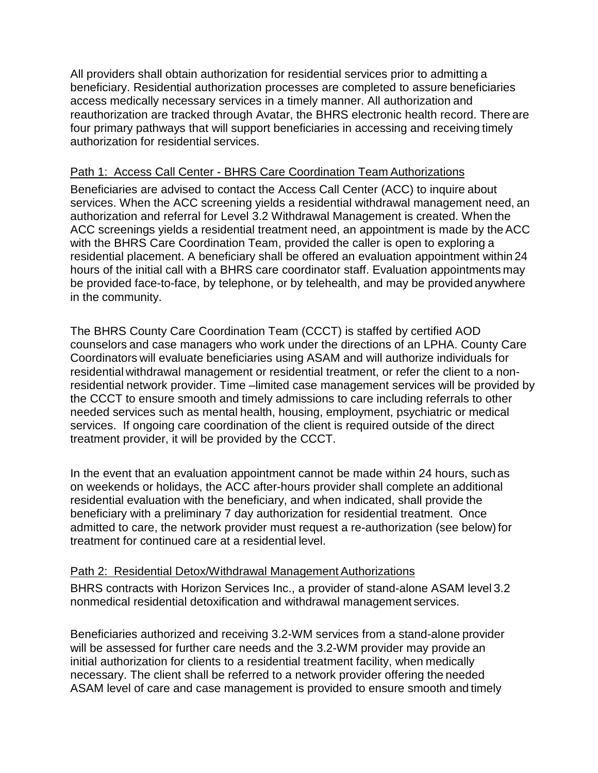All providers shall obtain authorization for residential services prior to admitting a beneficiary. Residential authorization processes are completed to assure beneficiaries access medically necessary services in a timely manner. All authorization and reauthorization are tracked through Avatar, the BHRS electronic health record. There are four primary pathways that will support beneficiaries in accessing and receiving timely authorization for residential services.

#### Path 1: Access Call Center - BHRS Care Coordination Team Authorizations

Beneficiaries are advised to contact the Access Call Center (ACC) to inquire about services. When the ACC screening yields a residential withdrawal management need, an authorization and referral for Level 3.2 Withdrawal Management is created. When the ACC screenings yields a residential treatment need, an appointment is made by the ACC with the BHRS Care Coordination Team, provided the caller is open to exploring a residential placement. A beneficiary shall be offered an evaluation appointment within 24 hours of the initial call with a BHRS care coordinator staff. Evaluation appointments may be provided face-to-face, by telephone, or by telehealth, and may be provided anywhere in the community.

The BHRS County Care Coordination Team (CCCT) is staffed by certified AOD counselors and case managers who work under the directions of an LPHA. County Care Coordinators will evaluate beneficiaries using ASAM and will authorize individuals for residential withdrawal management or residential treatment, or refer the client to a nonresidential network provider. Time –limited case management services will be provided by the CCCT to ensure smooth and timely admissions to care including referrals to other needed services such as mental health, housing, employment, psychiatric or medical services. If ongoing care coordination of the client is required outside of the direct treatment provider, it will be provided by the CCCT.

In the event that an evaluation appointment cannot be made within 24 hours, such as on weekends or holidays, the ACC after-hours provider shall complete an additional residential evaluation with the beneficiary, and when indicated, shall provide the beneficiary with a preliminary 7 day authorization for residential treatment. Once admitted to care, the network provider must request a re-authorization (see below) for treatment for continued care at a residential level.

#### Path 2: Residential Detox/Withdrawal Management Authorizations

BHRS contracts with Horizon Services Inc., a provider of stand-alone ASAM level 3.2 nonmedical residential detoxification and withdrawal management services.

Beneficiaries authorized and receiving 3.2-WM services from a stand-alone provider will be assessed for further care needs and the 3.2-WM provider may provide an initial authorization for clients to a residential treatment facility, when medically necessary. The client shall be referred to a network provider offering the needed ASAM level of care and case management is provided to ensure smooth and timely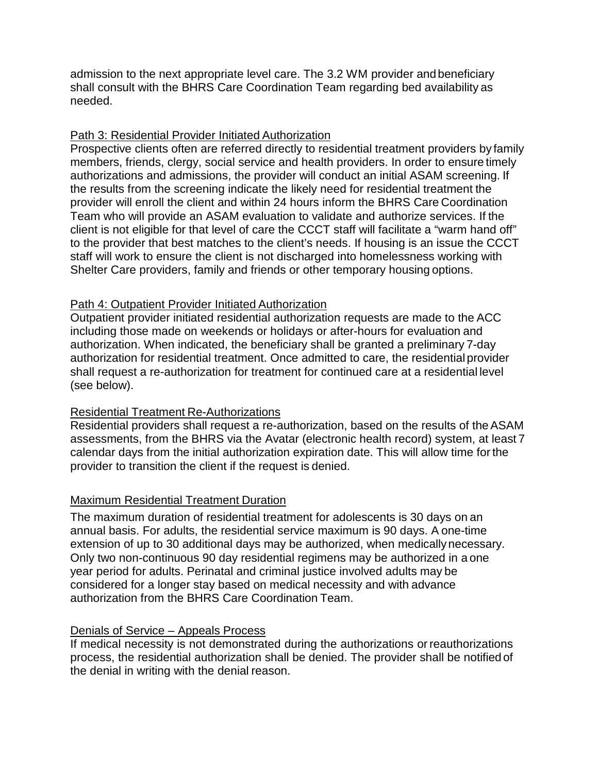admission to the next appropriate level care. The 3.2 WM provider andbeneficiary shall consult with the BHRS Care Coordination Team regarding bed availability as needed.

#### Path 3: Residential Provider Initiated Authorization

Prospective clients often are referred directly to residential treatment providers by family members, friends, clergy, social service and health providers. In order to ensure timely authorizations and admissions, the provider will conduct an initial ASAM screening. If the results from the screening indicate the likely need for residential treatment the provider will enroll the client and within 24 hours inform the BHRS Care Coordination Team who will provide an ASAM evaluation to validate and authorize services. If the client is not eligible for that level of care the CCCT staff will facilitate a "warm hand off" to the provider that best matches to the client's needs. If housing is an issue the CCCT staff will work to ensure the client is not discharged into homelessness working with Shelter Care providers, family and friends or other temporary housing options.

#### Path 4: Outpatient Provider Initiated Authorization

Outpatient provider initiated residential authorization requests are made to the ACC including those made on weekends or holidays or after-hours for evaluation and authorization. When indicated, the beneficiary shall be granted a preliminary 7-day authorization for residential treatment. Once admitted to care, the residential provider shall request a re-authorization for treatment for continued care at a residential level (see below).

#### Residential Treatment Re-Authorizations

Residential providers shall request a re-authorization, based on the results of theASAM assessments, from the BHRS via the Avatar (electronic health record) system, at least 7 calendar days from the initial authorization expiration date. This will allow time forthe provider to transition the client if the request is denied.

#### Maximum Residential Treatment Duration

The maximum duration of residential treatment for adolescents is 30 days on an annual basis. For adults, the residential service maximum is 90 days. A one-time extension of up to 30 additional days may be authorized, when medicallynecessary. Only two non-continuous 90 day residential regimens may be authorized in a one year period for adults. Perinatal and criminal justice involved adults may be considered for a longer stay based on medical necessity and with advance authorization from the BHRS Care Coordination Team.

#### Denials of Service – Appeals Process

If medical necessity is not demonstrated during the authorizations or reauthorizations process, the residential authorization shall be denied. The provider shall be notified of the denial in writing with the denial reason.